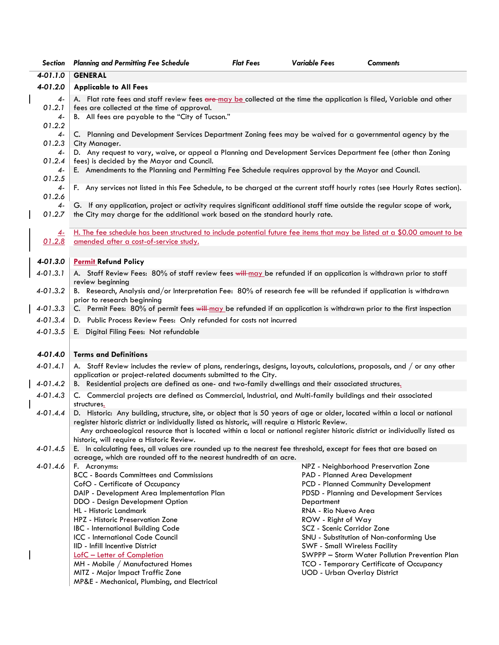| <b>Section</b> | <b>Planning and Permitting Fee Schedule</b>                                                                                                                    | <b>Flat Fees</b> | <b>Variable Fees</b>                 | <b>Comments</b>                                                       |
|----------------|----------------------------------------------------------------------------------------------------------------------------------------------------------------|------------------|--------------------------------------|-----------------------------------------------------------------------|
| 4-01.1.0       | <b>GENERAL</b>                                                                                                                                                 |                  |                                      |                                                                       |
| 4-01.2.0       | <b>Applicable to All Fees</b>                                                                                                                                  |                  |                                      |                                                                       |
| 4-             | A. Flat rate fees and staff review fees are may be collected at the time the application is filed, Variable and other                                          |                  |                                      |                                                                       |
| 01.2.1         | fees are collected at the time of approval.                                                                                                                    |                  |                                      |                                                                       |
| 4-<br>01.2.2   | B. All fees are payable to the "City of Tucson."                                                                                                               |                  |                                      |                                                                       |
| 4-             | C. Planning and Development Services Department Zoning fees may be waived for a governmental agency by the                                                     |                  |                                      |                                                                       |
| 01.2.3         | City Manager.<br>D. Any request to vary, waive, or appeal a Planning and Development Services Department fee (other than Zoning                                |                  |                                      |                                                                       |
| 4-<br>01.2.4   | fees) is decided by the Mayor and Council.                                                                                                                     |                  |                                      |                                                                       |
| 4-             | E. Amendments to the Planning and Permitting Fee Schedule requires approval by the Mayor and Council.                                                          |                  |                                      |                                                                       |
| 01.2.5         | F. Any services not listed in this Fee Schedule, to be charged at the current staff hourly rates (see Hourly Rates section).                                   |                  |                                      |                                                                       |
| 4-<br>01.2.6   |                                                                                                                                                                |                  |                                      |                                                                       |
| 4-             | G. If any application, project or activity requires significant additional staff time outside the regular scope of work,                                       |                  |                                      |                                                                       |
| 01.2.7         | the City may charge for the additional work based on the standard hourly rate.                                                                                 |                  |                                      |                                                                       |
| <u>4-</u>      | H. The fee schedule has been structured to include potential future fee items that may be listed at a \$0.00 amount to be                                      |                  |                                      |                                                                       |
| <u>01.2.8</u>  | amended after a cost-of-service study.                                                                                                                         |                  |                                      |                                                                       |
|                |                                                                                                                                                                |                  |                                      |                                                                       |
| 4-01.3.0       | <b>Permit Refund Policy</b>                                                                                                                                    |                  |                                      |                                                                       |
| $4 - 01.3.1$   | A. Staff Review Fees: 80% of staff review fees will may be refunded if an application is withdrawn prior to staff<br>review beginning                          |                  |                                      |                                                                       |
| 4-01.3.2       | B. Research, Analysis and/or Interpretation Fee: 80% of research fee will be refunded if application is withdrawn                                              |                  |                                      |                                                                       |
|                | prior to research beginning                                                                                                                                    |                  |                                      |                                                                       |
| 4-01.3.3       | C. Permit Fees: 80% of permit fees will-may be refunded if an application is withdrawn prior to the first inspection                                           |                  |                                      |                                                                       |
| 4-01.3.4       | D. Public Process Review Fees: Only refunded for costs not incurred                                                                                            |                  |                                      |                                                                       |
| 4-01.3.5       | E. Digital Filing Fees: Not refundable                                                                                                                         |                  |                                      |                                                                       |
| 4-01.4.0       | <b>Terms and Definitions</b>                                                                                                                                   |                  |                                      |                                                                       |
| $4-01.4.1$     | A. Staff Review includes the review of plans, renderings, designs, layouts, calculations, proposals, and / or any other                                        |                  |                                      |                                                                       |
|                | application or project-related documents submitted to the City.                                                                                                |                  |                                      |                                                                       |
| $4-01.4.2$     | B. Residential projects are defined as one- and two-family dwellings and their associated structures.                                                          |                  |                                      |                                                                       |
| 4-01.4.3       | C. Commercial projects are defined as Commercial, Industrial, and Multi-family buildings and their associated                                                  |                  |                                      |                                                                       |
| 4-01.4.4       | structures.<br>D. Historic: Any building, structure, site, or object that is 50 years of age or older, located within a local or national                      |                  |                                      |                                                                       |
|                | register historic district or individually listed as historic, will require a Historic Review.                                                                 |                  |                                      |                                                                       |
|                | Any archaeological resource that is located within a local or national register historic district or individually listed as                                    |                  |                                      |                                                                       |
| 4-01.4.5       | historic, will require a Historic Review.<br>E. In calculating fees, all values are rounded up to the nearest fee threshold, except for fees that are based on |                  |                                      |                                                                       |
|                | acreage, which are rounded off to the nearest hundredth of an acre.                                                                                            |                  |                                      |                                                                       |
| 4-01.4.6       | F. Acronyms:                                                                                                                                                   |                  |                                      | NPZ - Neighborhood Preservation Zone                                  |
|                | <b>BCC - Boards Committees and Commissions</b><br>CofO - Certificate of Occupancy                                                                              |                  |                                      | PAD - Planned Area Development<br>PCD - Planned Community Development |
|                | DAIP - Development Area Implementation Plan                                                                                                                    |                  |                                      | PDSD - Planning and Development Services                              |
|                | DDO - Design Development Option                                                                                                                                |                  | Department                           |                                                                       |
|                | HL - Historic Landmark                                                                                                                                         |                  | RNA - Rio Nuevo Area                 |                                                                       |
|                | <b>HPZ</b> - Historic Preservation Zone                                                                                                                        |                  | ROW - Right of Way                   |                                                                       |
|                | IBC - International Building Code                                                                                                                              |                  | SCZ - Scenic Corridor Zone           |                                                                       |
|                | ICC - International Code Council                                                                                                                               |                  |                                      | SNU - Substitution of Non-conforming Use                              |
|                | IID - Infill Incentive District                                                                                                                                |                  | <b>SWF - Small Wireless Facility</b> |                                                                       |
|                | LofC - Letter of Completion                                                                                                                                    |                  |                                      | SWPPP - Storm Water Pollution Prevention Plan                         |
|                | MH - Mobile / Manufactured Homes                                                                                                                               |                  |                                      | <b>TCO - Temporary Certificate of Occupancy</b>                       |
|                | MITZ - Major Impact Traffic Zone                                                                                                                               |                  | <b>UOD - Urban Overlay District</b>  |                                                                       |
|                | MP&E - Mechanical, Plumbing, and Electrical                                                                                                                    |                  |                                      |                                                                       |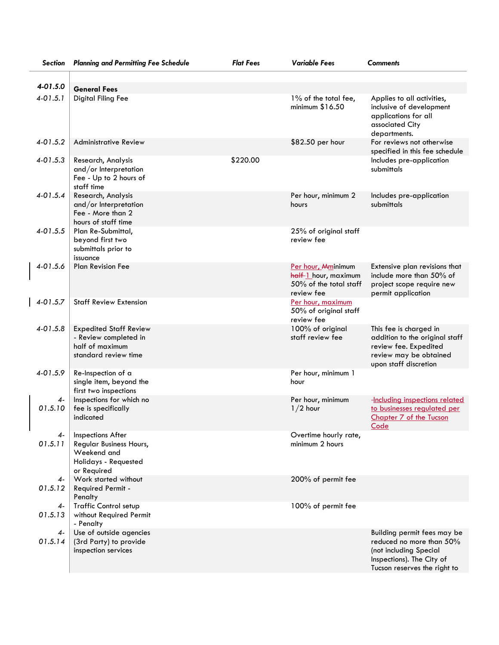| <b>Section</b>         | <b>Planning and Permitting Fee Schedule</b>                                                               | <b>Flat Fees</b> | <b>Variable Fees</b>                                                               | <b>Comments</b>                                                                                                                                |
|------------------------|-----------------------------------------------------------------------------------------------------------|------------------|------------------------------------------------------------------------------------|------------------------------------------------------------------------------------------------------------------------------------------------|
|                        |                                                                                                           |                  |                                                                                    |                                                                                                                                                |
| 4-01.5.0<br>$4-01.5.1$ | <b>General Fees</b><br><b>Digital Filing Fee</b>                                                          |                  | 1% of the total fee,<br>minimum \$16.50                                            | Applies to all activities,<br>inclusive of development<br>applications for all<br>associated City<br>departments.                              |
| $4-01.5.2$             | <b>Administrative Review</b>                                                                              |                  | \$82.50 per hour                                                                   | For reviews not otherwise<br>specified in this fee schedule                                                                                    |
| 4-01.5.3               | Research, Analysis<br>and/or Interpretation<br>Fee - Up to 2 hours of<br>staff time                       | \$220.00         |                                                                                    | Includes pre-application<br>submittals                                                                                                         |
| $4 - 01.5.4$           | Research, Analysis<br>$and/or$ Interpretation<br>Fee - More than 2<br>hours of staff time                 |                  | Per hour, minimum 2<br>hours                                                       | Includes pre-application<br>submittals                                                                                                         |
| 4-01.5.5               | Plan Re-Submittal,<br>beyond first two<br>submittals prior to<br>issuance                                 |                  | 25% of original staff<br>review fee                                                |                                                                                                                                                |
| 4-01.5.6               | <b>Plan Revision Fee</b>                                                                                  |                  | Per hour, Mminimum<br>half-1_hour, maximum<br>50% of the total staff<br>review fee | Extensive plan revisions that<br>include more than 50% of<br>project scope require new<br>permit application                                   |
| 4-01.5.7               | <b>Staff Review Extension</b>                                                                             |                  | Per hour, maximum<br>50% of original staff<br>review fee                           |                                                                                                                                                |
| 4-01.5.8               | <b>Expedited Staff Review</b><br>- Review completed in<br>half of maximum<br>standard review time         |                  | 100% of original<br>staff review fee                                               | This fee is charged in<br>addition to the original staff<br>review fee. Expedited<br>review may be obtained<br>upon staff discretion           |
| 4-01.5.9               | Re-Inspection of a<br>single item, beyond the<br>first two inspections                                    |                  | Per hour, minimum 1<br>hour                                                        |                                                                                                                                                |
| 4-<br>01.5.10          | Inspections for which no<br>fee is specifically<br>indicated                                              |                  | Per hour, minimum<br>$1/2$ hour                                                    | -Including inspections related<br>to businesses regulated per<br>Chapter 7 of the Tucson<br>Code                                               |
| 4-<br>01.5.11          | <b>Inspections After</b><br>Regular Business Hours,<br>Weekend and<br>Holidays - Requested<br>or Required |                  | Overtime hourly rate,<br>minimum 2 hours                                           |                                                                                                                                                |
| 4-<br>01.5.12          | Work started without<br><b>Required Permit -</b><br>Penalty                                               |                  | 200% of permit fee                                                                 |                                                                                                                                                |
| 4-<br>01.5.13          | <b>Traffic Control setup</b><br>without Required Permit<br>- Penalty                                      |                  | 100% of permit fee                                                                 |                                                                                                                                                |
| 4-<br>01.5.14          | Use of outside agencies<br>(3rd Party) to provide<br>inspection services                                  |                  |                                                                                    | Building permit fees may be<br>reduced no more than 50%<br>(not including Special<br>Inspections). The City of<br>Tucson reserves the right to |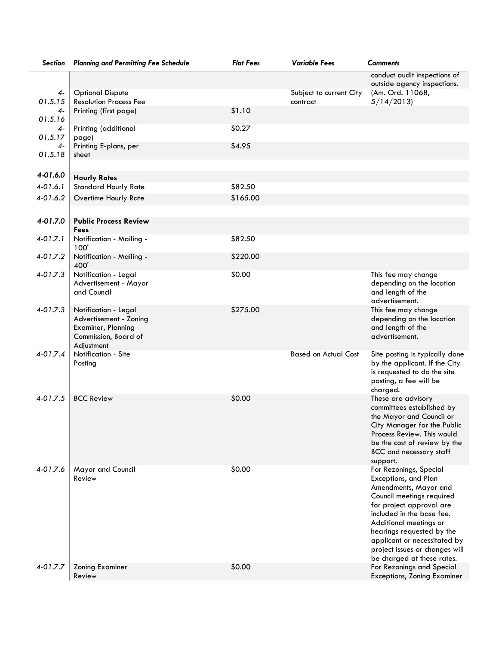| <b>Section</b> | <b>Planning and Permitting Fee Schedule</b>                                                                | <b>Flat Fees</b> | <b>Variable Fees</b>                | <b>Comments</b>                                                                                                                                                                                                                                                                                                      |
|----------------|------------------------------------------------------------------------------------------------------------|------------------|-------------------------------------|----------------------------------------------------------------------------------------------------------------------------------------------------------------------------------------------------------------------------------------------------------------------------------------------------------------------|
|                |                                                                                                            |                  |                                     | conduct audit inspections of<br>outside agency inspections.                                                                                                                                                                                                                                                          |
| 4-<br>01.5.15  | <b>Optional Dispute</b><br><b>Resolution Process Fee</b>                                                   |                  | Subject to current City<br>contract | (Am. Ord. 11068,<br>5/14/2013                                                                                                                                                                                                                                                                                        |
| 4-<br>01.5.16  | Printing (first page)                                                                                      | \$1.10           |                                     |                                                                                                                                                                                                                                                                                                                      |
| 4-<br>01.5.17  | Printing (additional<br>page)                                                                              | \$0.27           |                                     |                                                                                                                                                                                                                                                                                                                      |
| 4-<br>01.5.18  | Printing E-plans, per<br>sheet                                                                             | \$4.95           |                                     |                                                                                                                                                                                                                                                                                                                      |
|                |                                                                                                            |                  |                                     |                                                                                                                                                                                                                                                                                                                      |
| 4-01.6.0       | <b>Hourly Rates</b>                                                                                        |                  |                                     |                                                                                                                                                                                                                                                                                                                      |
| $4-01.6.1$     | <b>Standard Hourly Rate</b>                                                                                | \$82.50          |                                     |                                                                                                                                                                                                                                                                                                                      |
| 4-01.6.2       | Overtime Hourly Rate                                                                                       | \$165.00         |                                     |                                                                                                                                                                                                                                                                                                                      |
| 4-01.7.0       | <b>Public Process Review</b><br>Fees                                                                       |                  |                                     |                                                                                                                                                                                                                                                                                                                      |
| 4-01.7.1       | Notification - Mailing -<br>100'                                                                           | \$82.50          |                                     |                                                                                                                                                                                                                                                                                                                      |
| 4-01.7.2       | Notification - Mailing -<br>400'                                                                           | \$220.00         |                                     |                                                                                                                                                                                                                                                                                                                      |
| 4-01.7.3       | Notification - Legal<br>Advertisement - Mayor<br>and Council                                               | \$0.00           |                                     | This fee may change<br>depending on the location<br>and length of the<br>advertisement.                                                                                                                                                                                                                              |
| 4-01.7.3       | Notification - Legal<br>Advertisement - Zoning<br>Examiner, Planning<br>Commission, Board of<br>Adjustment | \$275.00         |                                     | This fee may change<br>depending on the location<br>and length of the<br>advertisement.                                                                                                                                                                                                                              |
| 4-01.7.4       | Notification - Site<br>Posting                                                                             |                  | <b>Based on Actual Cost</b>         | Site posting is typically done<br>by the applicant. If the City<br>is requested to do the site<br>posting, a fee will be<br>charged.                                                                                                                                                                                 |
| $4-01.7.5$     | <b>BCC Review</b>                                                                                          | \$0.00           |                                     | These are advisory<br>committees established by<br>the Mayor and Council or<br>City Manager for the Public<br>Process Review. This would<br>be the cost of review by the<br><b>BCC</b> and necessary staff<br>support.                                                                                               |
| 4-01.7.6       | Mayor and Council<br>Review                                                                                | \$0.00           |                                     | For Rezonings, Special<br>Exceptions, and Plan<br>Amendments, Mayor and<br>Council meetings required<br>for project approval are<br>included in the base fee.<br>Additional meetings or<br>hearings requested by the<br>applicant or necessitated by<br>project issues or changes will<br>be charged at these rates. |
| 4-01.7.7       | <b>Zoning Examiner</b><br>Review                                                                           | \$0.00           |                                     | For Rezonings and Special<br><b>Exceptions, Zoning Examiner</b>                                                                                                                                                                                                                                                      |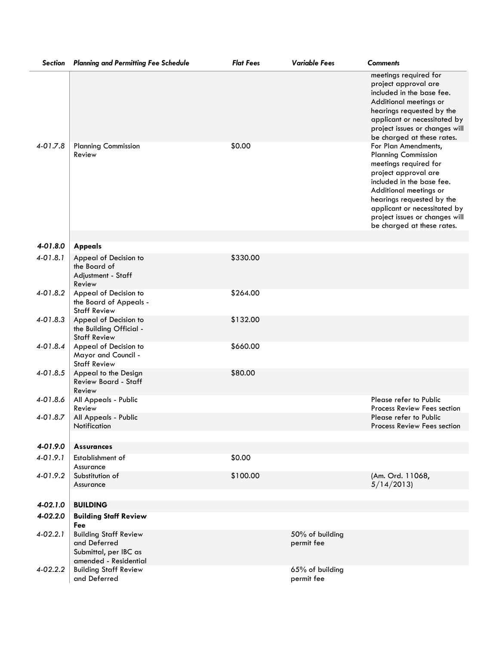| <b>Section</b> | <b>Planning and Permitting Fee Schedule</b>                             | <b>Flat Fees</b> | <b>Variable Fees</b>          | <b>Comments</b>                                                                                                                                                                                                                                                 |
|----------------|-------------------------------------------------------------------------|------------------|-------------------------------|-----------------------------------------------------------------------------------------------------------------------------------------------------------------------------------------------------------------------------------------------------------------|
| 4-01.7.8       | <b>Planning Commission</b>                                              | \$0.00           |                               | meetings required for<br>project approval are<br>included in the base fee.<br>Additional meetings or<br>hearings requested by the<br>applicant or necessitated by<br>project issues or changes will<br>be charged at these rates.<br>For Plan Amendments,       |
|                | Review                                                                  |                  |                               | <b>Planning Commission</b><br>meetings required for<br>project approval are<br>included in the base fee.<br>Additional meetings or<br>hearings requested by the<br>applicant or necessitated by<br>project issues or changes will<br>be charged at these rates. |
| 4-01.8.0       | <b>Appeals</b>                                                          |                  |                               |                                                                                                                                                                                                                                                                 |
| 4-01.8.1       | Appeal of Decision to<br>the Board of<br>Adjustment - Staff<br>Review   | \$330.00         |                               |                                                                                                                                                                                                                                                                 |
| 4-01.8.2       | Appeal of Decision to<br>the Board of Appeals -<br><b>Staff Review</b>  | \$264.00         |                               |                                                                                                                                                                                                                                                                 |
| 4-01.8.3       | Appeal of Decision to<br>the Building Official -<br><b>Staff Review</b> | \$132.00         |                               |                                                                                                                                                                                                                                                                 |
| 4-01.8.4       | Appeal of Decision to<br>Mayor and Council -<br><b>Staff Review</b>     | \$660.00         |                               |                                                                                                                                                                                                                                                                 |
| 4-01.8.5       | Appeal to the Design<br><b>Review Board - Staff</b><br>Review           | \$80.00          |                               |                                                                                                                                                                                                                                                                 |
| 4-01.8.6       | All Appeals - Public<br>Review                                          |                  |                               | Please refer to Public<br>Process Review Fees section                                                                                                                                                                                                           |
| 4-01.8.7       | All Appeals - Public<br>Notification                                    |                  |                               | Please refer to Public<br>Process Review Fees section                                                                                                                                                                                                           |
| 4-01.9.0       | <b>Assurances</b>                                                       |                  |                               |                                                                                                                                                                                                                                                                 |
| 4-01.9.1       | Establishment of                                                        | \$0.00           |                               |                                                                                                                                                                                                                                                                 |
| 4-01.9.2       | Assurance<br>Substitution of<br>Assurance                               | \$100.00         |                               | (Am. Ord. 11068,<br>5/14/2013                                                                                                                                                                                                                                   |
| $4-02.1.0$     | <b>BUILDING</b>                                                         |                  |                               |                                                                                                                                                                                                                                                                 |
| 4-02.2.0       | <b>Building Staff Review</b>                                            |                  |                               |                                                                                                                                                                                                                                                                 |
| $4-02.2.1$     | Fee<br><b>Building Staff Review</b>                                     |                  | 50% of building               |                                                                                                                                                                                                                                                                 |
|                | and Deferred<br>Submittal, per IBC as<br>amended - Residential          |                  | permit fee                    |                                                                                                                                                                                                                                                                 |
| $4-02.2.2$     | <b>Building Staff Review</b><br>and Deferred                            |                  | 65% of building<br>permit fee |                                                                                                                                                                                                                                                                 |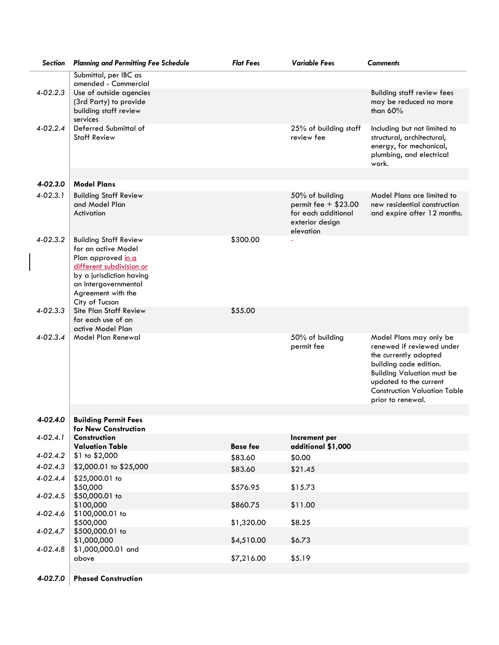| <b>Section</b> | <b>Planning and Permitting Fee Schedule</b>         | <b>Flat Fees</b> | <b>Variable Fees</b>                      | <b>Comments</b>                                            |
|----------------|-----------------------------------------------------|------------------|-------------------------------------------|------------------------------------------------------------|
|                | Submittal, per IBC as                               |                  |                                           |                                                            |
| $4 - 02.2.3$   | amended - Commercial<br>Use of outside agencies     |                  |                                           | <b>Building staff review fees</b>                          |
|                | (3rd Party) to provide                              |                  |                                           | may be reduced no more                                     |
|                | building staff review                               |                  |                                           | than $60%$                                                 |
|                | services                                            |                  |                                           |                                                            |
| $4 - 02.2.4$   | Deferred Submittal of<br><b>Staff Review</b>        |                  | 25% of building staff<br>review fee       | Including but not limited to<br>structural, architectural, |
|                |                                                     |                  |                                           | energy, for mechanical,                                    |
|                |                                                     |                  |                                           | plumbing, and electrical                                   |
|                |                                                     |                  |                                           | work.                                                      |
| $4 - 02.30$    | <b>Model Plans</b>                                  |                  |                                           |                                                            |
|                |                                                     |                  |                                           |                                                            |
| $4-02.3.1$     | <b>Building Staff Review</b><br>and Model Plan      |                  | 50% of building<br>permit fee $+$ \$23.00 | Model Plans are limited to<br>new residential construction |
|                | Activation                                          |                  | for each additional                       | and expire after 12 months.                                |
|                |                                                     |                  | exterior design                           |                                                            |
| $4 - 02.3.2$   |                                                     |                  | elevation                                 |                                                            |
|                | <b>Building Staff Review</b><br>for an active Model | \$300.00         |                                           |                                                            |
|                | Plan approved in a                                  |                  |                                           |                                                            |
|                | different subdivision or                            |                  |                                           |                                                            |
|                | by a jurisdiction having<br>an Intergovernmental    |                  |                                           |                                                            |
|                | Agreement with the                                  |                  |                                           |                                                            |
|                | City of Tucson                                      |                  |                                           |                                                            |
| $4 - 02.3.3$   | Site Plan Staff Review                              | \$55.00          |                                           |                                                            |
|                | for each use of an<br>active Model Plan             |                  |                                           |                                                            |
| $4-02.3.4$     | Model Plan Renewal                                  |                  | 50% of building                           | Model Plans may only be                                    |
|                |                                                     |                  | permit fee                                | renewed if reviewed under                                  |
|                |                                                     |                  |                                           | the currently adopted<br>building code edition.            |
|                |                                                     |                  |                                           | <b>Building Valuation must be</b>                          |
|                |                                                     |                  |                                           | updated to the current                                     |
|                |                                                     |                  |                                           | <b>Construction Valuation Table</b>                        |
|                |                                                     |                  |                                           | prior to renewal.                                          |
| 4-02.4.0       | <b>Building Permit Fees</b>                         |                  |                                           |                                                            |
|                | for New Construction                                |                  |                                           |                                                            |
| $4-02.4.1$     | <b>Construction</b><br><b>Valuation Table</b>       | <b>Base fee</b>  | Increment per<br>additional \$1,000       |                                                            |
| $4-02.4.2$     | \$1 to \$2,000                                      | \$83.60          | \$0.00                                    |                                                            |
| $4-02.4.3$     | \$2,000.01 to \$25,000                              | \$83.60          | \$21.45                                   |                                                            |
| $4 - 02.4.4$   | \$25,000.01 to                                      |                  |                                           |                                                            |
|                | \$50,000                                            | \$576.95         | \$15.73                                   |                                                            |
| $4-02.4.5$     | \$50,000.01 to                                      | \$860.75         | \$11.00                                   |                                                            |
| $4-02.4.6$     | \$100,000<br>\$100,000.01 to                        |                  |                                           |                                                            |
|                | \$500,000                                           | \$1,320.00       | \$8.25                                    |                                                            |
| 4-02.4.7       | \$500,000.01 to                                     |                  |                                           |                                                            |
| 4-02.4.8       | \$1,000,000<br>\$1,000,000.01 and                   | \$4,510.00       | \$6.73                                    |                                                            |
|                | above                                               | \$7,216.00       | \$5.19                                    |                                                            |
|                |                                                     |                  |                                           |                                                            |
| 4-02.7.0       | <b>Phased Construction</b>                          |                  |                                           |                                                            |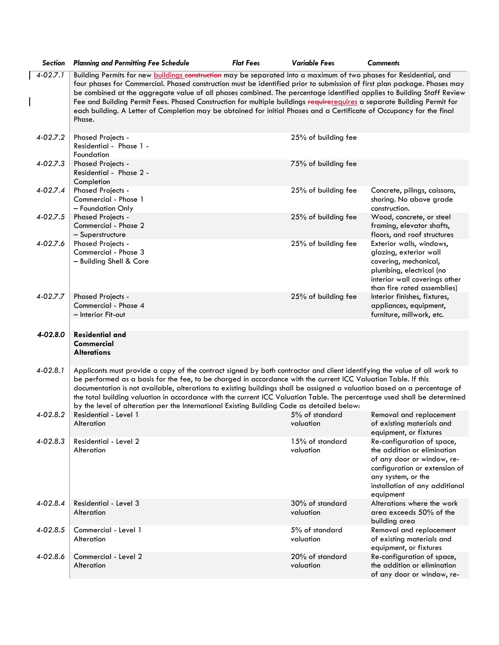| <b>Section</b> | <b>Planning and Permitting Fee Schedule</b>                                                                                                                                                                                                                                                                                                                                                                                                                                                                                                                                                                                           | <b>Flat Fees</b> | <b>Variable Fees</b>         | <b>Comments</b>                                                                                                                                                                               |
|----------------|---------------------------------------------------------------------------------------------------------------------------------------------------------------------------------------------------------------------------------------------------------------------------------------------------------------------------------------------------------------------------------------------------------------------------------------------------------------------------------------------------------------------------------------------------------------------------------------------------------------------------------------|------------------|------------------------------|-----------------------------------------------------------------------------------------------------------------------------------------------------------------------------------------------|
| $4-02.7.1$     | Building Permits for new buildings construction may be separated into a maximum of two phases for Residential, and<br>four phases for Commercial. Phased construction must be identified prior to submission of first plan package. Phases may<br>be combined at the aggregate value of all phases combined. The percentage identified applies to Building Staff Review<br>Fee and Building Permit Fees. Phased Construction for multiple buildings requirerequires a separate Building Permit for<br>each building. A Letter of Completion may be obtained for initial Phases and a Certificate of Occupancy for the final<br>Phase. |                  |                              |                                                                                                                                                                                               |
| $4-02.7.2$     | <b>Phased Projects -</b><br>Residential - Phase 1 -<br>Foundation                                                                                                                                                                                                                                                                                                                                                                                                                                                                                                                                                                     |                  | 25% of building fee          |                                                                                                                                                                                               |
| 4-02.7.3       | <b>Phased Projects -</b><br>Residential - Phase 2 -<br>Completion                                                                                                                                                                                                                                                                                                                                                                                                                                                                                                                                                                     |                  | 75% of building fee          |                                                                                                                                                                                               |
| $4-02.7.4$     | <b>Phased Projects -</b><br>Commercial - Phase 1<br>- Foundation Only                                                                                                                                                                                                                                                                                                                                                                                                                                                                                                                                                                 |                  | 25% of building fee          | Concrete, pilings, caissons,<br>shoring. No above grade<br>construction.                                                                                                                      |
| $4-02.7.5$     | <b>Phased Projects -</b><br>Commercial - Phase 2<br>- Superstructure                                                                                                                                                                                                                                                                                                                                                                                                                                                                                                                                                                  |                  | 25% of building fee          | Wood, concrete, or steel<br>framing, elevator shafts,<br>floors, and roof structures                                                                                                          |
| 4-02.7.6       | <b>Phased Projects -</b><br>Commercial - Phase 3<br>- Building Shell & Core                                                                                                                                                                                                                                                                                                                                                                                                                                                                                                                                                           |                  | 25% of building fee          | Exterior walls, windows,<br>glazing, exterior wall<br>covering, mechanical,<br>plumbing, electrical (no<br>interior wall coverings other<br>than fire rated assemblies)                       |
| 4-02.7.7       | <b>Phased Projects -</b><br>Commercial - Phase 4<br>- Interior Fit-out                                                                                                                                                                                                                                                                                                                                                                                                                                                                                                                                                                |                  | 25% of building fee          | Interior finishes, fixtures,<br>appliances, equipment,<br>furniture, millwork, etc.                                                                                                           |
|                |                                                                                                                                                                                                                                                                                                                                                                                                                                                                                                                                                                                                                                       |                  |                              |                                                                                                                                                                                               |
| 4-02.8.0       | <b>Residential and</b><br><b>Commercial</b><br><b>Alterations</b>                                                                                                                                                                                                                                                                                                                                                                                                                                                                                                                                                                     |                  |                              |                                                                                                                                                                                               |
| $4-02.8.1$     | Applicants must provide a copy of the contract signed by both contractor and client identifying the value of all work to<br>be performed as a basis for the fee, to be charged in accordance with the current ICC Valuation Table. If this<br>documentation is not available, alterations to existing buildings shall be assigned a valuation based on a percentage of<br>the total building valuation in accordance with the current ICC Valuation Table. The percentage used shall be determined<br>by the level of alteration per the International Existing Building Code as detailed below:                                      |                  |                              |                                                                                                                                                                                               |
| $4 - 02.8.2$   | Residential - Level 1<br>Alteration                                                                                                                                                                                                                                                                                                                                                                                                                                                                                                                                                                                                   |                  | 5% of standard<br>valuation  | Removal and replacement<br>of existing materials and<br>equipment, or fixtures                                                                                                                |
| 4-02.8.3       | Residential - Level 2<br>Alteration                                                                                                                                                                                                                                                                                                                                                                                                                                                                                                                                                                                                   |                  | 15% of standard<br>valuation | Re-configuration of space,<br>the addition or elimination<br>of any door or window, re-<br>configuration or extension of<br>any system, or the<br>installation of any additional<br>equipment |
| 4-02.8.4       | Residential - Level 3<br>Alteration                                                                                                                                                                                                                                                                                                                                                                                                                                                                                                                                                                                                   |                  | 30% of standard<br>valuation | Alterations where the work<br>area exceeds 50% of the<br>building area                                                                                                                        |
| $4 - 02.8.5$   | Commercial - Level 1<br>Alteration                                                                                                                                                                                                                                                                                                                                                                                                                                                                                                                                                                                                    |                  | 5% of standard<br>valuation  | Removal and replacement<br>of existing materials and<br>equipment, or fixtures                                                                                                                |
| 4-02.8.6       | Commercial - Level 2<br>Alteration                                                                                                                                                                                                                                                                                                                                                                                                                                                                                                                                                                                                    |                  | 20% of standard<br>valuation | Re-configuration of space,<br>the addition or elimination<br>of any door or window, re-                                                                                                       |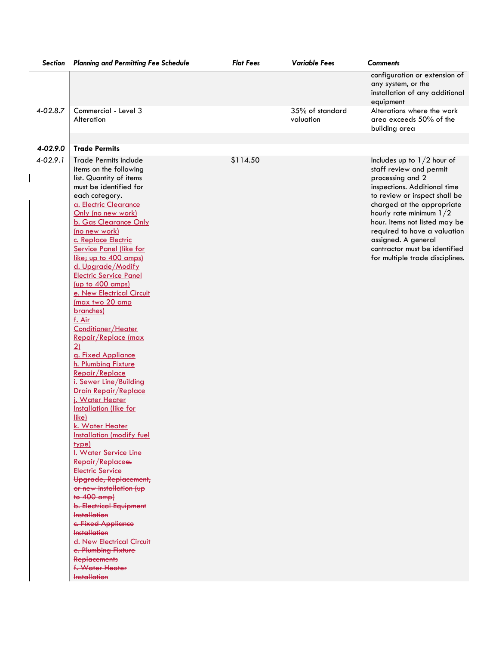|                        | Section Planning and Permitting Fee Schedule                                                                                                                                                                                                                                                                                                                                                                                                                                                                                                                                                                                                                                                                                                        | <b>Flat Fees</b> | <b>Variable Fees</b>         | <b>Comments</b>                                                                                                                                                                                                                                                                                                                                                     |
|------------------------|-----------------------------------------------------------------------------------------------------------------------------------------------------------------------------------------------------------------------------------------------------------------------------------------------------------------------------------------------------------------------------------------------------------------------------------------------------------------------------------------------------------------------------------------------------------------------------------------------------------------------------------------------------------------------------------------------------------------------------------------------------|------------------|------------------------------|---------------------------------------------------------------------------------------------------------------------------------------------------------------------------------------------------------------------------------------------------------------------------------------------------------------------------------------------------------------------|
|                        |                                                                                                                                                                                                                                                                                                                                                                                                                                                                                                                                                                                                                                                                                                                                                     |                  |                              | configuration or extension of<br>any system, or the<br>installation of any additional<br>equipment                                                                                                                                                                                                                                                                  |
| 4-02.8.7               | Commercial - Level 3<br>Alteration                                                                                                                                                                                                                                                                                                                                                                                                                                                                                                                                                                                                                                                                                                                  |                  | 35% of standard<br>valuation | Alterations where the work<br>area exceeds 50% of the<br>building area                                                                                                                                                                                                                                                                                              |
|                        |                                                                                                                                                                                                                                                                                                                                                                                                                                                                                                                                                                                                                                                                                                                                                     |                  |                              |                                                                                                                                                                                                                                                                                                                                                                     |
|                        |                                                                                                                                                                                                                                                                                                                                                                                                                                                                                                                                                                                                                                                                                                                                                     |                  |                              |                                                                                                                                                                                                                                                                                                                                                                     |
| 4-02.9.0<br>$4-02.9.1$ | <b>Trade Permits</b><br><b>Trade Permits include</b><br>items on the following<br>list. Quantity of items<br>must be identified for<br>each category.<br>a. Electric Clearance<br>Only (no new work)<br>b. Gas Clearance Only<br>(no new work)<br>c. Replace Electric<br><b>Service Panel (like for</b><br>like; up to 400 amps)<br>d. Upgrade/Modify<br><b>Electric Service Panel</b><br>(up to 400 amps)<br>e. New Electrical Circuit<br>(max two 20 amp<br>branches)<br>f. Air<br>Conditioner/Heater<br>Repair/Replace (max<br>21<br>g. Fixed Appliance<br>h. Plumbing Fixture<br>Repair/Replace<br>i. Sewer Line/Building<br><b>Drain Repair/Replace</b><br>j. Water Heater<br><b>Installation (like for</b><br><u>like)</u><br>k. Water Heater | \$114.50         |                              | Includes up to $1/2$ hour of<br>staff review and permit<br>processing and 2<br>inspections. Additional time<br>to review or inspect shall be<br>charged at the appropriate<br>hourly rate minimum $1/2$<br>hour. Items not listed may be<br>required to have a valuation<br>assigned. A general<br>contractor must be identified<br>for multiple trade disciplines. |
|                        | <b>Installation (modify fuel</b><br>type)<br><b>I. Water Service Line</b><br>Repair/Replacea.<br><b>Electric Service</b><br>Upgrade, Replacement,<br>or new installation (up<br>to 400 amp)<br>b. Electrical Equipment<br><b>Installation</b><br>e. Fixed Appliance<br><b>Installation</b><br>d. New Electrical Circuit<br>e. Plumbing Fixture<br><b>Replacements</b><br>f. Water Heater<br><b>Installation</b>                                                                                                                                                                                                                                                                                                                                     |                  |                              |                                                                                                                                                                                                                                                                                                                                                                     |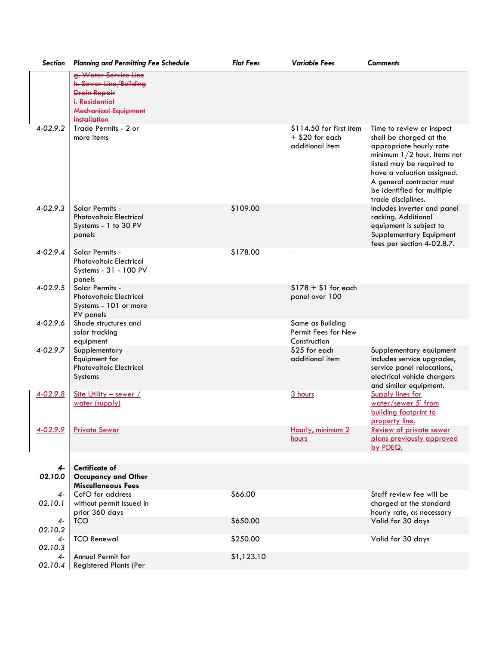| <b>Section</b> | <b>Planning and Permitting Fee Schedule</b>                                                                                                    | <b>Flat Fees</b> | <b>Variable Fees</b>                                            | <b>Comments</b>                                                                                                                                                                                                                                              |
|----------------|------------------------------------------------------------------------------------------------------------------------------------------------|------------------|-----------------------------------------------------------------|--------------------------------------------------------------------------------------------------------------------------------------------------------------------------------------------------------------------------------------------------------------|
|                | g. Water Service Line<br>h. Sewer Line/Building<br><b>Drain Repair</b><br>i. Residential<br><b>Mechanical Equipment</b><br><b>Installation</b> |                  |                                                                 |                                                                                                                                                                                                                                                              |
| $4-02.9.2$     | Trade Permits - 2 or<br>more items                                                                                                             |                  | \$114.50 for first item<br>$+$ \$20 for each<br>additional item | Time to review or inspect<br>shall be charged at the<br>appropriate hourly rate<br>minimum $1/2$ hour. Items not<br>listed may be required to<br>have a valuation assigned.<br>A general contractor must<br>be identified for multiple<br>trade disciplines. |
| 4-02.9.3       | Solar Permits -<br>Photovoltaic Electrical<br>Systems - 1 to 30 PV<br>panels                                                                   | \$109.00         |                                                                 | Includes inverter and panel<br>racking. Additional<br>equipment is subject to<br>Supplementary Equipment<br>fees per section 4-02.8.7.                                                                                                                       |
| $4 - 02.9.4$   | Solar Permits -<br><b>Photovoltaic Electrical</b><br>Systems - 31 - 100 PV<br>panels                                                           | \$178.00         |                                                                 |                                                                                                                                                                                                                                                              |
| $4 - 02.9.5$   | Solar Permits -<br>Photovoltaic Electrical<br>Systems - 101 or more<br>PV panels                                                               |                  | $$178 + $1$ for each<br>panel over 100                          |                                                                                                                                                                                                                                                              |
| $4-02.9.6$     | Shade structures and<br>solar tracking<br>equipment                                                                                            |                  | Same as Building<br>Permit Fees for New<br>Construction         |                                                                                                                                                                                                                                                              |
| $4 - 02.9.7$   | Supplementary<br>Equipment for<br><b>Photovoltaic Electrical</b><br>Systems                                                                    |                  | \$25 for each<br>additional item                                | Supplementary equipment<br>includes service upgrades,<br>service panel relocations,<br>electrical vehicle chargers<br>and similar equipment.                                                                                                                 |
| $4 - 02.9.8$   | <u>Site Utility – sewer /</u><br>water (supply)                                                                                                |                  | 3 hours                                                         | <b>Supply lines for</b><br>water/sewer 5' from<br>building footprint to<br>property line.                                                                                                                                                                    |
| 4-02.9.9       | <b>Private Sewer</b>                                                                                                                           |                  | Hourly, minimum 2<br>hours                                      | Review of private sewer<br>plans previously approved<br>by PDEQ.                                                                                                                                                                                             |
|                |                                                                                                                                                |                  |                                                                 |                                                                                                                                                                                                                                                              |
| 4-<br>02.10.0  | <b>Certificate of</b><br><b>Occupancy and Other</b><br><b>Miscellaneous Fees</b>                                                               |                  |                                                                 |                                                                                                                                                                                                                                                              |
| 4-<br>02.10.1  | CofO for address<br>without permit issued in<br>prior 360 days                                                                                 | \$66.00          |                                                                 | Staff review fee will be<br>charged at the standard<br>hourly rate, as necessary                                                                                                                                                                             |
| 4-<br>02.10.2  | <b>TCO</b>                                                                                                                                     | \$650.00         |                                                                 | Valid for 30 days                                                                                                                                                                                                                                            |
| 4-<br>02.10.3  | <b>TCO Renewal</b>                                                                                                                             | \$250.00         |                                                                 | Valid for 30 days                                                                                                                                                                                                                                            |
| 4-<br>02.10.4  | Annual Permit for<br><b>Registered Plants (Per</b>                                                                                             | \$1,123.10       |                                                                 |                                                                                                                                                                                                                                                              |
|                |                                                                                                                                                |                  |                                                                 |                                                                                                                                                                                                                                                              |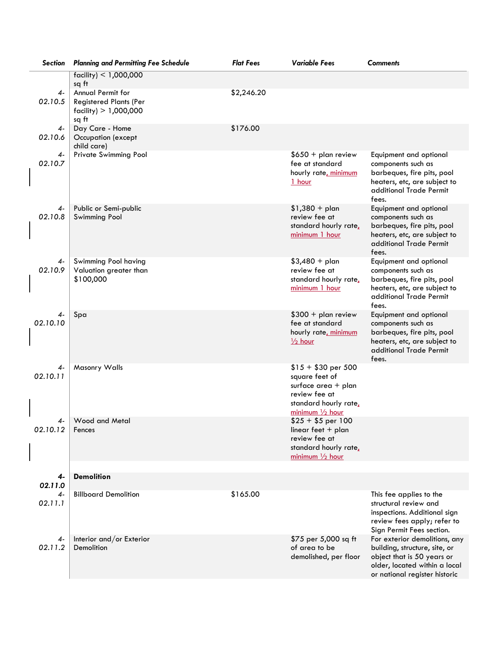| <b>Section</b>           | <b>Planning and Permitting Fee Schedule</b>                                                                                | <b>Flat Fees</b> | <b>Variable Fees</b>                                                                                                                 | <b>Comments</b>                                                                                                                                                |
|--------------------------|----------------------------------------------------------------------------------------------------------------------------|------------------|--------------------------------------------------------------------------------------------------------------------------------------|----------------------------------------------------------------------------------------------------------------------------------------------------------------|
| 4-<br>02.10.5            | facility) $< 1,000,000$<br>sq ft<br>Annual Permit for<br><b>Registered Plants (Per</b><br>facility) $> 1,000,000$<br>sq ft | \$2,246.20       |                                                                                                                                      |                                                                                                                                                                |
| 4-<br>02.10.6            | Day Care - Home<br>Occupation (except<br>child care)                                                                       | \$176.00         |                                                                                                                                      |                                                                                                                                                                |
| 4-<br>02.10.7            | Private Swimming Pool                                                                                                      |                  | $$650 + plan review$<br>fee at standard<br>hourly rate, minimum<br>1 hour                                                            | Equipment and optional<br>components such as<br>barbeques, fire pits, pool<br>heaters, etc, are subject to<br>additional Trade Permit<br>fees.                 |
| 4-<br>02.10.8            | Public or Semi-public<br><b>Swimming Pool</b>                                                                              |                  | $$1,380 + plan$<br>review fee at<br>standard hourly rate,<br>minimum 1 hour                                                          | Equipment and optional<br>components such as<br>barbeques, fire pits, pool<br>heaters, etc, are subject to<br>additional Trade Permit<br>fees.                 |
| 4-<br>02.10.9            | Swimming Pool having<br>Valuation greater than<br>\$100,000                                                                |                  | $$3,480 + plan$<br>review fee at<br>standard hourly rate,<br>minimum 1 hour                                                          | Equipment and optional<br>components such as<br>barbeques, fire pits, pool<br>heaters, etc, are subject to<br>additional Trade Permit<br>fees.                 |
| 4-<br>02.10.10           | Spa                                                                                                                        |                  | $$300 + plan$ review<br>fee at standard<br>hourly rate, minimum<br>$\frac{1}{2}$ hour                                                | Equipment and optional<br>components such as<br>barbeques, fire pits, pool<br>heaters, etc, are subject to<br>additional Trade Permit<br>fees.                 |
| 4-<br>02.10.11           | Masonry Walls                                                                                                              |                  | $$15 + $30$ per 500<br>square feet of<br>surface area + plan<br>review fee at<br>standard hourly rate,<br>$minimum \frac{1}{2} hour$ |                                                                                                                                                                |
| 4 -<br>02.10.12          | Wood and Metal<br>Fences                                                                                                   |                  | $$25 + $5$ per 100<br>linear feet $+$ plan<br>review fee at<br>standard hourly rate,<br>minimum $\frac{1}{2}$ hour                   |                                                                                                                                                                |
| 4-                       | <b>Demolition</b>                                                                                                          |                  |                                                                                                                                      |                                                                                                                                                                |
| 02.11.0<br>4-<br>02.11.1 | <b>Billboard Demolition</b>                                                                                                | \$165.00         |                                                                                                                                      | This fee applies to the<br>structural review and<br>inspections. Additional sign<br>review fees apply; refer to<br>Sign Permit Fees section.                   |
| 4-<br>02.11.2            | Interior and/or Exterior<br>Demolition                                                                                     |                  | \$75 per 5,000 sq ft<br>of area to be<br>demolished, per floor                                                                       | For exterior demolitions, any<br>building, structure, site, or<br>object that is 50 years or<br>older, located within a local<br>or national register historic |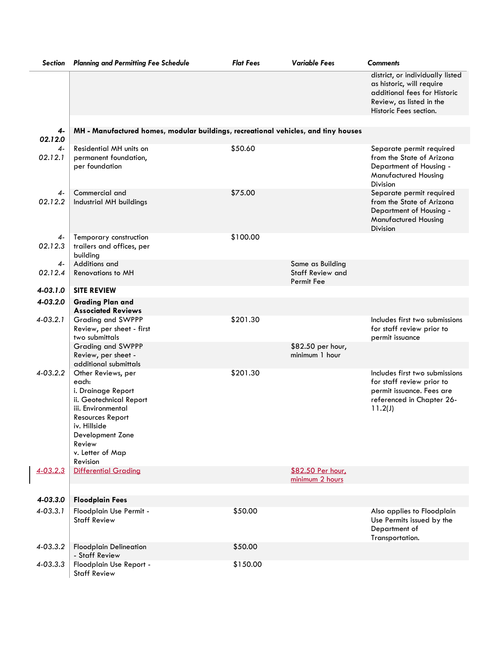| <b>Section</b>  | <b>Planning and Permitting Fee Schedule</b>                                                                                                                                           | <b>Flat Fees</b> | <b>Variable Fees</b>                        | <b>Comments</b>                                                                                                                                     |
|-----------------|---------------------------------------------------------------------------------------------------------------------------------------------------------------------------------------|------------------|---------------------------------------------|-----------------------------------------------------------------------------------------------------------------------------------------------------|
|                 |                                                                                                                                                                                       |                  |                                             | district, or individually listed<br>as historic, will require<br>additional fees for Historic<br>Review, as listed in the<br>Historic Fees section. |
|                 |                                                                                                                                                                                       |                  |                                             |                                                                                                                                                     |
| 4-<br>02.12.0   | MH - Manufactured homes, modular buildings, recreational vehicles, and tiny houses                                                                                                    |                  |                                             |                                                                                                                                                     |
| $\mathcal{A}$ - | Residential MH units on                                                                                                                                                               | \$50.60          |                                             | Separate permit required                                                                                                                            |
| 02.12.1         | permanent foundation,<br>per foundation                                                                                                                                               |                  |                                             | from the State of Arizona<br>Department of Housing -<br>Manufactured Housing<br><b>Division</b>                                                     |
| $\overline{4}$  | Commercial and                                                                                                                                                                        | \$75.00          |                                             | Separate permit required                                                                                                                            |
| 02.12.2         | Industrial MH buildings                                                                                                                                                               |                  |                                             | from the State of Arizona<br>Department of Housing -<br>Manufactured Housing<br><b>Division</b>                                                     |
| 4-<br>02.12.3   | Temporary construction<br>trailers and offices, per<br>building                                                                                                                       | \$100.00         |                                             |                                                                                                                                                     |
| $4-$<br>02.12.4 | Additions and<br><b>Renovations to MH</b>                                                                                                                                             |                  | Same as Building<br><b>Staff Review and</b> |                                                                                                                                                     |
|                 |                                                                                                                                                                                       |                  | <b>Permit Fee</b>                           |                                                                                                                                                     |
| $4-03.1.0$      | <b>SITE REVIEW</b>                                                                                                                                                                    |                  |                                             |                                                                                                                                                     |
| 4-03.2.0        | <b>Grading Plan and</b><br><b>Associated Reviews</b>                                                                                                                                  |                  |                                             |                                                                                                                                                     |
| $4 - 03.2.1$    | Grading and SWPPP<br>Review, per sheet - first<br>two submittals                                                                                                                      | \$201.30         |                                             | Includes first two submissions<br>for staff review prior to<br>permit issuance                                                                      |
|                 | Grading and SWPPP<br>Review, per sheet -<br>additional submittals                                                                                                                     |                  | \$82.50 per hour,<br>minimum 1 hour         |                                                                                                                                                     |
| $4-03.2.2$      | Other Reviews, per                                                                                                                                                                    | \$201.30         |                                             | Includes first two submissions                                                                                                                      |
|                 | each:<br>i. Drainage Report<br>ii. Geotechnical Report<br>iii. Environmental<br><b>Resources Report</b><br>iv. Hillside<br>Development Zone<br>Review<br>v. Letter of Map<br>Revision |                  |                                             | for staff review prior to<br>permit issuance. Fees are<br>referenced in Chapter 26-<br>11.2(J)                                                      |
| $4 - 03.2.3$    | <b>Differential Grading</b>                                                                                                                                                           |                  | \$82.50 Per hour.                           |                                                                                                                                                     |
|                 |                                                                                                                                                                                       |                  | minimum 2 hours                             |                                                                                                                                                     |
| 4-03.3.0        | <b>Floodplain Fees</b>                                                                                                                                                                |                  |                                             |                                                                                                                                                     |
| $4 - 03.3.1$    | Floodplain Use Permit -                                                                                                                                                               | \$50.00          |                                             | Also applies to Floodplain                                                                                                                          |
|                 | <b>Staff Review</b>                                                                                                                                                                   |                  |                                             | Use Permits issued by the<br>Department of<br>Transportation.                                                                                       |
| $4 - 03.3.2$    | <b>Floodplain Delineation</b><br>- Staff Review                                                                                                                                       | \$50.00          |                                             |                                                                                                                                                     |
| 4-03.3.3        | Floodplain Use Report -<br><b>Staff Review</b>                                                                                                                                        | \$150.00         |                                             |                                                                                                                                                     |

 $\overline{a}$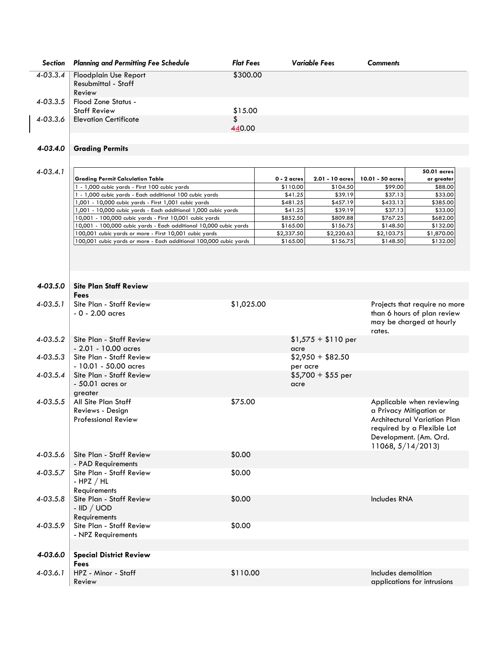| <b>Section</b> | <b>Planning and Permitting Fee Schedule</b>                                                                                 | <b>Flat Fees</b> |                      | <b>Variable Fees</b> | <b>Comments</b>      |                                                                                                                                              |
|----------------|-----------------------------------------------------------------------------------------------------------------------------|------------------|----------------------|----------------------|----------------------|----------------------------------------------------------------------------------------------------------------------------------------------|
| $4 - 03.3.4$   | <b>Floodplain Use Report</b><br><b>Resubmittal - Staff</b><br>Review                                                        | \$300.00         |                      |                      |                      |                                                                                                                                              |
| $4 - 03.3.5$   | Flood Zone Status -                                                                                                         |                  |                      |                      |                      |                                                                                                                                              |
|                | <b>Staff Review</b>                                                                                                         | \$15.00          |                      |                      |                      |                                                                                                                                              |
| 4-03.3.6       | <b>Elevation Certificate</b>                                                                                                | \$<br>440.00     |                      |                      |                      |                                                                                                                                              |
| 4-03.4.0       | <b>Grading Permits</b>                                                                                                      |                  |                      |                      |                      |                                                                                                                                              |
|                |                                                                                                                             |                  |                      |                      |                      |                                                                                                                                              |
| $4 - 03.4.1$   |                                                                                                                             |                  |                      |                      |                      | 50.01 acres                                                                                                                                  |
|                | <b>Grading Permit Calculation Table</b>                                                                                     |                  | $0 - 2$ acres        | 2.01 - 10 acres      | 10.01 - 50 acres     | or greater                                                                                                                                   |
|                | 1 - 1,000 cubic yards - First 100 cubic yards                                                                               |                  | \$110.00             | \$104.50             | \$99.00              | \$88.00                                                                                                                                      |
|                | 1 - 1,000 cubic yards - Each additional 100 cubic yards                                                                     |                  | \$41.25              | \$39.19              | \$37.13              | \$33.00                                                                                                                                      |
|                | 1,001 - 10,000 cubic yards - First 1,001 cubic yards                                                                        |                  | \$481.25             | \$457.19             | \$433.13             | \$385.00                                                                                                                                     |
|                | 1,001 - 10,000 cubic yards - Each additional 1,000 cubic yards                                                              |                  | \$41.25              | \$39.19              | \$37.13              | \$33.00                                                                                                                                      |
|                | 10,001 - 100,000 cubic yards - First 10,001 cubic yards                                                                     |                  | \$852.50<br>\$165.00 | \$809.88<br>\$156.75 | \$767.25<br>\$148.50 | \$682.00<br>\$132.00                                                                                                                         |
|                | 10,001 - 100,000 cubic yards - Each additional 10,000 cubic yards<br>100,001 cubic yards or more - First 10,001 cubic yards |                  | \$2,337.50           | \$2,220.63           | \$2,103.75           | \$1,870.00                                                                                                                                   |
|                | 100,001 cubic yards or more - Each additional 100,000 cubic yards                                                           |                  | \$165.00             | \$156.75             | \$148.50             | \$132.00                                                                                                                                     |
| 4-03.5.0       | <b>Site Plan Staff Review</b>                                                                                               |                  |                      |                      |                      |                                                                                                                                              |
|                | <b>Fees</b>                                                                                                                 |                  |                      |                      |                      |                                                                                                                                              |
| $4 - 03.5.1$   | Site Plan - Staff Review<br>$-0 - 2.00$ acres                                                                               | \$1,025.00       |                      |                      | rates.               | Projects that require no more<br>than 6 hours of plan review<br>may be charged at hourly                                                     |
| $4 - 03.5.2$   | Site Plan - Staff Review<br>$-2.01 - 10.00$ acres                                                                           |                  | acre                 | $$1,575 + $110$ per  |                      |                                                                                                                                              |
| $4 - 03.5.3$   | Site Plan - Staff Review<br>- 10.01 - 50.00 acres                                                                           |                  | per acre             | $$2,950 + $82.50$    |                      |                                                                                                                                              |
| 4-03.5.4       | Site Plan - Staff Review<br>- 50.01 acres or<br>greater                                                                     |                  | acre                 | $$5,700 + $55$ per   |                      |                                                                                                                                              |
| $4 - 03.5.5$   | All Site Plan Staff<br>Reviews - Design<br><b>Professional Review</b>                                                       | \$75.00          |                      |                      | 11068, 5/14/2013     | Applicable when reviewing<br>a Privacy Mitigation or<br>Architectural Variation Plan<br>required by a Flexible Lot<br>Development. (Am. Ord. |
| 4-03.5.6       | Site Plan - Staff Review<br>- PAD Requirements                                                                              | \$0.00           |                      |                      |                      |                                                                                                                                              |
| $4 - 03.5.7$   | Site Plan - Staff Review<br>$-$ HPZ $/$ HL<br>Requirements                                                                  | \$0.00           |                      |                      |                      |                                                                                                                                              |
| 4-03.5.8       | Site Plan - Staff Review<br>$-$ IID $/$ UOD<br>Requirements                                                                 | \$0.00           |                      |                      | <b>Includes RNA</b>  |                                                                                                                                              |
| 4-03.5.9       | Site Plan - Staff Review<br>- NPZ Requirements                                                                              | \$0.00           |                      |                      |                      |                                                                                                                                              |
| 4-03.6.0       | <b>Special District Review</b>                                                                                              |                  |                      |                      |                      |                                                                                                                                              |
| $4-03.6.1$     | Fees<br>HPZ - Minor - Staff<br>Review                                                                                       | \$110.00         |                      |                      | Includes demolition  | applications for intrusions                                                                                                                  |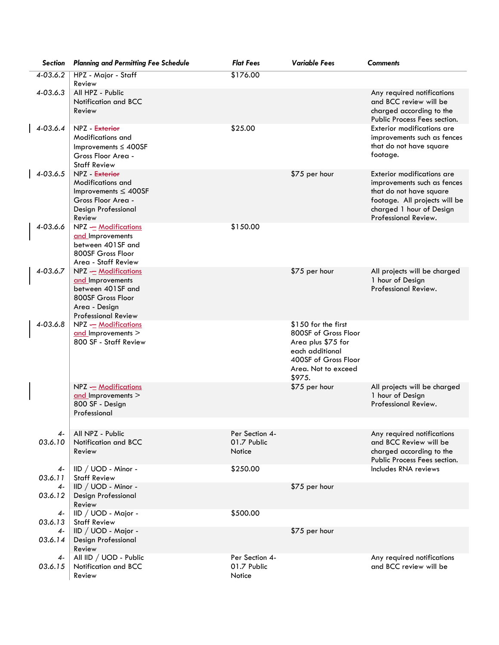| <b>Section</b>  | <b>Planning and Permitting Fee Schedule</b>                                                                                      | <b>Flat Fees</b>                        | <b>Variable Fees</b>                                                                                                                          | <b>Comments</b>                                                                                                                                                           |
|-----------------|----------------------------------------------------------------------------------------------------------------------------------|-----------------------------------------|-----------------------------------------------------------------------------------------------------------------------------------------------|---------------------------------------------------------------------------------------------------------------------------------------------------------------------------|
| 4-03.6.2        | HPZ - Major - Staff<br>Review                                                                                                    | \$176.00                                |                                                                                                                                               |                                                                                                                                                                           |
| $4 - 03.6.3$    | All HPZ - Public<br>Notification and BCC<br>Review                                                                               |                                         |                                                                                                                                               | Any required notifications<br>and BCC review will be<br>charged according to the<br>Public Process Fees section.                                                          |
| 4-03.6.4        | NPZ - Exterior<br>Modifications and<br>Improvements $\leq$ 400SF<br>Gross Floor Area -<br><b>Staff Review</b>                    | \$25.00                                 |                                                                                                                                               | Exterior modifications are<br>improvements such as fences<br>that do not have square<br>footage.                                                                          |
| 4-03.6.5        | NPZ - Exterior<br>Modifications and<br>Improvements $\leq$ 400SF<br>Gross Floor Area -<br>Design Professional<br>Review          |                                         | \$75 per hour                                                                                                                                 | Exterior modifications are<br>improvements such as fences<br>that do not have square<br>footage. All projects will be<br>charged 1 hour of Design<br>Professional Review. |
| 4-03.6.6        | $NPZ - Modifications$<br>and Improvements<br>between 401SF and<br>800SF Gross Floor<br>Area - Staff Review                       | \$150.00                                |                                                                                                                                               |                                                                                                                                                                           |
| $4 - 03.6.7$    | NPZ - Modifications<br>and Improvements<br>between 401SF and<br>800SF Gross Floor<br>Area - Design<br><b>Professional Review</b> |                                         | \$75 per hour                                                                                                                                 | All projects will be charged<br>1 hour of Design<br>Professional Review.                                                                                                  |
| 4-03.6.8        | $NPZ - Modifications$<br>$and$ Improvements $>$<br>800 SF - Staff Review                                                         |                                         | \$150 for the first<br>800SF of Gross Floor<br>Area plus \$75 for<br>each additional<br>400SF of Gross Floor<br>Area. Not to exceed<br>\$975. |                                                                                                                                                                           |
|                 | NPZ - Modifications<br>$and$ Improvements $>$<br>800 SF - Design<br>Professional                                                 |                                         | \$75 per hour                                                                                                                                 | All projects will be charged<br>1 hour of Design<br>Professional Review.                                                                                                  |
|                 |                                                                                                                                  |                                         |                                                                                                                                               |                                                                                                                                                                           |
| $4-$<br>03.6.10 | All NPZ - Public<br>Notification and BCC<br>Review                                                                               | Per Section 4-<br>01.7 Public<br>Notice |                                                                                                                                               | Any required notifications<br>and BCC Review will be<br>charged according to the<br>Public Process Fees section.                                                          |
| 4-<br>03.6.11   | IID / UOD - Minor -<br><b>Staff Review</b>                                                                                       | \$250.00                                |                                                                                                                                               | Includes RNA reviews                                                                                                                                                      |
| $4-$<br>03.6.12 | IID / UOD - Minor -<br>Design Professional<br>Review                                                                             |                                         | \$75 per hour                                                                                                                                 |                                                                                                                                                                           |
| 4-<br>03.6.13   | IID / UOD - Major -<br><b>Staff Review</b>                                                                                       | \$500.00                                |                                                                                                                                               |                                                                                                                                                                           |
| $4-$<br>03.6.14 | IID / UOD - Major -<br>Design Professional<br>Review                                                                             |                                         | \$75 per hour                                                                                                                                 |                                                                                                                                                                           |
| $4-$<br>03.6.15 | All IID / UOD - Public<br>Notification and BCC<br>Review                                                                         | Per Section 4-<br>01.7 Public<br>Notice |                                                                                                                                               | Any required notifications<br>and BCC review will be                                                                                                                      |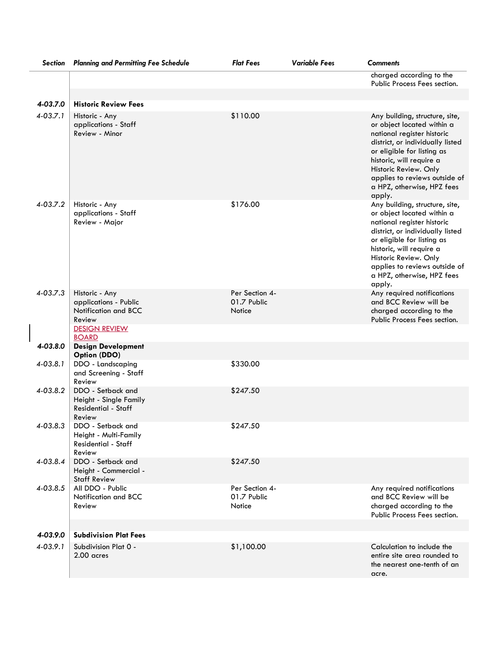| <b>Section</b> | <b>Planning and Permitting Fee Schedule</b>                                         | <b>Flat Fees</b>                        | <b>Variable Fees</b> | <b>Comments</b>                                                                                                                                                                                                                                                                            |
|----------------|-------------------------------------------------------------------------------------|-----------------------------------------|----------------------|--------------------------------------------------------------------------------------------------------------------------------------------------------------------------------------------------------------------------------------------------------------------------------------------|
|                |                                                                                     |                                         |                      | charged according to the<br>Public Process Fees section.                                                                                                                                                                                                                                   |
|                |                                                                                     |                                         |                      |                                                                                                                                                                                                                                                                                            |
| 4-03.7.0       | <b>Historic Review Fees</b>                                                         |                                         |                      |                                                                                                                                                                                                                                                                                            |
| $4 - 03.7.1$   | Historic - Any<br>applications - Staff<br>Review - Minor                            | \$110.00                                |                      | Any building, structure, site,<br>or object located within a<br>national register historic<br>district, or individually listed<br>or eligible for listing as<br>historic, will require a<br>Historic Review. Only<br>applies to reviews outside of<br>a HPZ, otherwise, HPZ fees<br>apply. |
| $4-03.7.2$     | Historic - Any<br>applications - Staff<br>Review - Major                            | \$176.00                                |                      | Any building, structure, site,<br>or object located within a<br>national register historic<br>district, or individually listed<br>or eligible for listing as<br>historic, will require a<br>Historic Review. Only<br>applies to reviews outside of<br>a HPZ, otherwise, HPZ fees<br>apply. |
| $4 - 03.7.3$   | Historic - Any<br>applications - Public<br>Notification and BCC<br>Review           | Per Section 4-<br>01.7 Public<br>Notice |                      | Any required notifications<br>and BCC Review will be<br>charged according to the<br>Public Process Fees section.                                                                                                                                                                           |
|                | <b>DESIGN REVIEW</b><br><b>BOARD</b>                                                |                                         |                      |                                                                                                                                                                                                                                                                                            |
| 4-03.8.0       | <b>Design Development</b><br>Option (DDO)                                           |                                         |                      |                                                                                                                                                                                                                                                                                            |
| $4 - 03.8.1$   | DDO - Landscaping<br>and Screening - Staff<br>Review                                | \$330.00                                |                      |                                                                                                                                                                                                                                                                                            |
| 4-03.8.2       | DDO - Setback and<br>Height - Single Family<br><b>Residential - Staff</b><br>Review | \$247.50                                |                      |                                                                                                                                                                                                                                                                                            |
| 4-03.8.3       | DDO - Setback and<br>Height - Multi-Family<br>Residential - Staff<br>Review         | \$247.50                                |                      |                                                                                                                                                                                                                                                                                            |
| 4-03.8.4       | DDO - Setback and<br>Height - Commercial -<br><b>Staff Review</b>                   | \$247.50                                |                      |                                                                                                                                                                                                                                                                                            |
| $4 - 03.8.5$   | All DDO - Public<br>Notification and BCC<br>Review                                  | Per Section 4-<br>01.7 Public<br>Notice |                      | Any required notifications<br>and BCC Review will be<br>charged according to the<br>Public Process Fees section.                                                                                                                                                                           |
|                |                                                                                     |                                         |                      |                                                                                                                                                                                                                                                                                            |
| 4-03.9.0       | <b>Subdivision Plat Fees</b>                                                        |                                         |                      |                                                                                                                                                                                                                                                                                            |
| 4-03.9.1       | Subdivision Plat 0 -<br>$2.00$ acres                                                | \$1,100.00                              |                      | Calculation to include the<br>entire site area rounded to<br>the nearest one-tenth of an<br>acre.                                                                                                                                                                                          |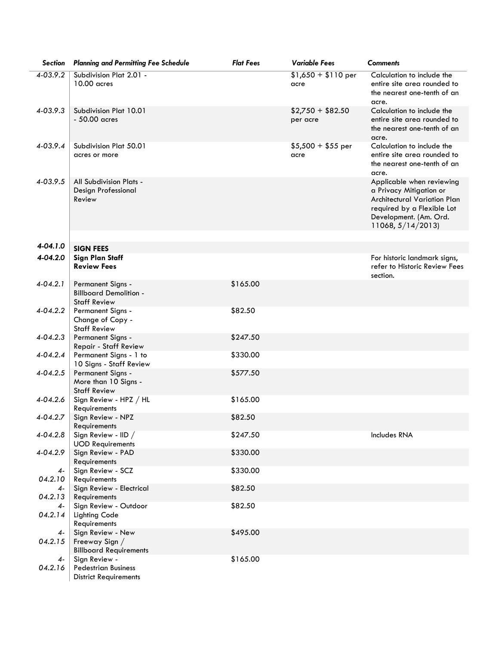| <b>Section</b> | <b>Planning and Permitting Fee Schedule</b>                                 | <b>Flat Fees</b>     | <b>Variable Fees</b>          | <b>Comments</b>                                                                                                                                                  |
|----------------|-----------------------------------------------------------------------------|----------------------|-------------------------------|------------------------------------------------------------------------------------------------------------------------------------------------------------------|
| 4-03.9.2       | Subdivision Plat 2.01 -<br>10.00 acres                                      |                      | $$1,650 + $110$ per<br>acre   | Calculation to include the<br>entire site area rounded to<br>the nearest one-tenth of an<br>acre.                                                                |
| 4-03.9.3       | Subdivision Plat 10.01<br>- 50.00 acres                                     |                      | $$2,750 + $82.50$<br>per acre | Calculation to include the<br>entire site area rounded to<br>the nearest one-tenth of an<br>acre.                                                                |
| 4-03.9.4       | Subdivision Plat 50.01<br>acres or more                                     |                      | $$5,500 + $55$ per<br>acre    | Calculation to include the<br>entire site area rounded to<br>the nearest one-tenth of an<br>acre.                                                                |
| 4-03.9.5       | All Subdivision Plats -<br>Design Professional<br>Review                    |                      |                               | Applicable when reviewing<br>a Privacy Mitigation or<br>Architectural Variation Plan<br>required by a Flexible Lot<br>Development. (Am. Ord.<br>11068, 5/14/2013 |
|                |                                                                             |                      |                               |                                                                                                                                                                  |
| $4-04.1.0$     | <b>SIGN FEES</b>                                                            |                      |                               |                                                                                                                                                                  |
| 4-04.2.0       | <b>Sign Plan Staff</b><br><b>Review Fees</b>                                |                      |                               | For historic landmark signs,<br>refer to Historic Review Fees<br>section.                                                                                        |
| $4 - 04.2.1$   | Permanent Signs -<br><b>Billboard Demolition -</b><br><b>Staff Review</b>   | \$165.00             |                               |                                                                                                                                                                  |
| $4-04.2.2$     | Permanent Signs -<br>Change of Copy -<br><b>Staff Review</b>                | \$82.50              |                               |                                                                                                                                                                  |
| $4 - 04.2.3$   | Permanent Signs -<br>Repair - Staff Review                                  | \$247.50             |                               |                                                                                                                                                                  |
| $4 - 04.2.4$   | Permanent Signs - 1 to<br>10 Signs - Staff Review                           | \$330.00             |                               |                                                                                                                                                                  |
| $4 - 04.2.5$   | Permanent Signs -<br>More than 10 Signs -<br><b>Staff Review</b>            | \$577.50             |                               |                                                                                                                                                                  |
| 4-04.2.6       | Sign Review - HPZ / HL<br>Requirements                                      | \$165.00             |                               |                                                                                                                                                                  |
| 4-04.2.7       | Sign Review - NPZ<br>Requirements                                           | \$82.50              |                               |                                                                                                                                                                  |
| $4-04.2.8$     | Sign Review - IID /<br><b>UOD Requirements</b>                              | \$247.50             |                               | <b>Includes RNA</b>                                                                                                                                              |
| 4-04.2.9<br>4- | Sign Review - PAD<br>Requirements<br>Sign Review - SCZ                      | \$330.00<br>\$330.00 |                               |                                                                                                                                                                  |
| 04.2.10<br>4-  | Requirements<br>Sign Review - Electrical                                    | \$82.50              |                               |                                                                                                                                                                  |
| 04.2.13<br>4-  | Requirements<br>Sign Review - Outdoor                                       | \$82.50              |                               |                                                                                                                                                                  |
| 04.2.14        | <b>Lighting Code</b><br>Requirements                                        |                      |                               |                                                                                                                                                                  |
| 4-<br>04.2.15  | Sign Review - New<br>Freeway Sign /<br><b>Billboard Requirements</b>        | \$495.00             |                               |                                                                                                                                                                  |
| 4-<br>04.2.16  | Sign Review -<br><b>Pedestrian Business</b><br><b>District Requirements</b> | \$165.00             |                               |                                                                                                                                                                  |
|                |                                                                             |                      |                               |                                                                                                                                                                  |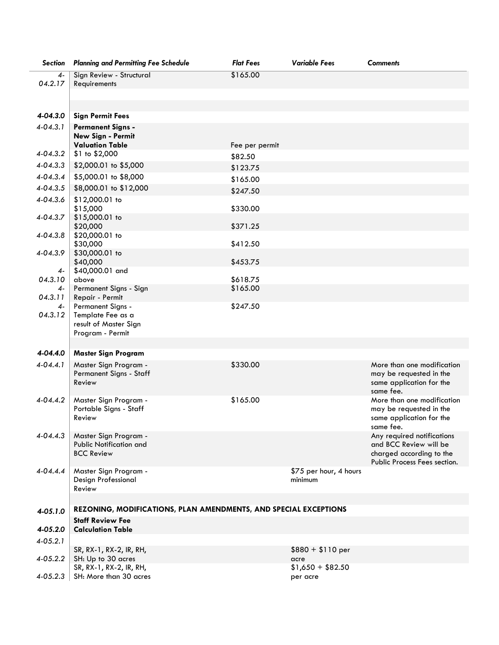| <b>Section</b> | <b>Planning and Permitting Fee Schedule</b>                                         | <b>Flat Fees</b>     | <b>Variable Fees</b>              | <b>Comments</b>                                                                                                  |
|----------------|-------------------------------------------------------------------------------------|----------------------|-----------------------------------|------------------------------------------------------------------------------------------------------------------|
| 4-<br>04.2.17  | Sign Review - Structural<br>Requirements                                            | \$165.00             |                                   |                                                                                                                  |
|                |                                                                                     |                      |                                   |                                                                                                                  |
|                |                                                                                     |                      |                                   |                                                                                                                  |
| 4-04.3.0       | <b>Sign Permit Fees</b>                                                             |                      |                                   |                                                                                                                  |
| $4 - 04.3.1$   | <b>Permanent Signs -</b><br>New Sign - Permit<br><b>Valuation Table</b>             | Fee per permit       |                                   |                                                                                                                  |
| $4-04.3.2$     | $$1$ to $$2,000$                                                                    | \$82.50              |                                   |                                                                                                                  |
| $4 - 04.3.3$   | \$2,000.01 to \$5,000                                                               | \$123.75             |                                   |                                                                                                                  |
| $4-04.3.4$     | \$5,000.01 to \$8,000                                                               | \$165.00             |                                   |                                                                                                                  |
| $4 - 04.3.5$   | \$8,000.01 to \$12,000                                                              | \$247.50             |                                   |                                                                                                                  |
| 4-04.3.6       | \$12,000.01 to<br>\$15,000                                                          | \$330.00             |                                   |                                                                                                                  |
| $4 - 04.3.7$   | \$15,000.01 to<br>\$20,000                                                          | \$371.25             |                                   |                                                                                                                  |
| $4 - 04.3.8$   | \$20,000.01 to<br>\$30,000                                                          | \$412.50             |                                   |                                                                                                                  |
| 4-04.3.9       | \$30,000.01 to<br>\$40,000                                                          | \$453.75             |                                   |                                                                                                                  |
| 4-             | \$40,000.01 and                                                                     |                      |                                   |                                                                                                                  |
| 04.3.10<br>4-  | above<br>Permanent Signs - Sign                                                     | \$618.75<br>\$165.00 |                                   |                                                                                                                  |
| 04.3.11        | Repair - Permit                                                                     |                      |                                   |                                                                                                                  |
| 4-<br>04.3.12  | Permanent Signs -<br>Template Fee as a<br>result of Master Sign<br>Program - Permit | \$247.50             |                                   |                                                                                                                  |
|                |                                                                                     |                      |                                   |                                                                                                                  |
| 4-04.4.0       | <b>Master Sign Program</b>                                                          |                      |                                   |                                                                                                                  |
| $4-04.4.1$     | Master Sign Program -<br>Permanent Signs - Staff<br>Review                          | \$330.00             |                                   | More than one modification<br>may be requested in the<br>same application for the<br>same fee.                   |
| $4-04.4.2$     | Master Sign Program -<br>Portable Signs - Staff<br>Review                           | \$165.00             |                                   | More than one modification<br>may be requested in the<br>same application for the<br>same fee.                   |
| $4 - 04.4.3$   | Master Sign Program -<br>Public Notification and<br><b>BCC Review</b>               |                      |                                   | Any required notifications<br>and BCC Review will be<br>charged according to the<br>Public Process Fees section. |
| 4-04.4.4       | Master Sign Program -<br>Design Professional<br>Review                              |                      | \$75 per hour, 4 hours<br>minimum |                                                                                                                  |
|                |                                                                                     |                      |                                   |                                                                                                                  |
| $4-05.1.0$     | REZONING, MODIFICATIONS, PLAN AMENDMENTS, AND SPECIAL EXCEPTIONS                    |                      |                                   |                                                                                                                  |
| 4-05.2.0       | <b>Staff Review Fee</b><br><b>Calculation Table</b>                                 |                      |                                   |                                                                                                                  |
| $4 - 05.2.1$   |                                                                                     |                      |                                   |                                                                                                                  |
|                | SR, RX-1, RX-2, IR, RH,                                                             |                      | $$880 + $110$ per                 |                                                                                                                  |
| $4 - 05.2.2$   | SH: Up to 30 acres<br>SR, RX-1, RX-2, IR, RH,                                       |                      | acre<br>$$1,650 + $82.50$         |                                                                                                                  |
| $4 - 05.2.3$   | SH: More than 30 acres                                                              |                      | per acre                          |                                                                                                                  |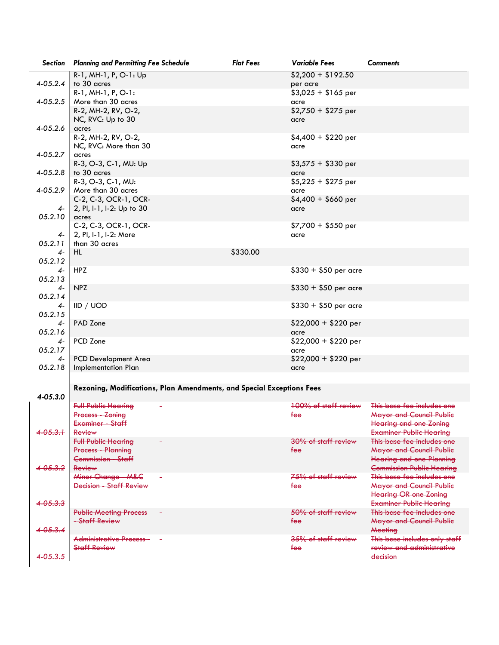| <b>Section</b>  | <b>Planning and Permitting Fee Schedule</b>                           | <b>Flat Fees</b> | <b>Variable Fees</b>         | <b>Comments</b>                                              |
|-----------------|-----------------------------------------------------------------------|------------------|------------------------------|--------------------------------------------------------------|
|                 | R-1, MH-1, P, O-1: Up                                                 |                  | $$2,200 + $192.50$           |                                                              |
| $4 - 05.2.4$    | to 30 acres                                                           |                  | per acre                     |                                                              |
|                 | R-1, MH-1, P, O-1:                                                    |                  | $$3,025 + $165$ per          |                                                              |
| $4 - 05.2.5$    | More than 30 acres                                                    |                  | acre                         |                                                              |
|                 | R-2, MH-2, RV, O-2,                                                   |                  | $$2,750 + $275$ per          |                                                              |
|                 | NC, RVC: Up to 30                                                     |                  | acre                         |                                                              |
| $4 - 05.26$     | acres                                                                 |                  |                              |                                                              |
|                 | R-2, MH-2, RV, O-2,<br>NC, RVC: More than 30                          |                  | $$4,400 + $220$ per<br>acre  |                                                              |
| 4-05.2.7        | acres                                                                 |                  |                              |                                                              |
|                 | R-3, O-3, C-1, MU: Up                                                 |                  | $$3,575 + $330$ per          |                                                              |
| $4 - 05.2.8$    | to 30 acres                                                           |                  | acre                         |                                                              |
|                 | R-3, O-3, C-1, MU:                                                    |                  | $$5,225 + $275$ per          |                                                              |
| 4-05.2.9        | More than 30 acres                                                    |                  | acre                         |                                                              |
|                 | C-2, C-3, OCR-1, OCR-                                                 |                  | $$4,400 + $660$ per          |                                                              |
| 4-              | 2, PI, I-1, I-2: Up to 30                                             |                  | acre                         |                                                              |
| 05.2.10         | acres                                                                 |                  |                              |                                                              |
|                 | C-2, C-3, OCR-1, OCR-                                                 |                  | $$7,700 + $550$ per          |                                                              |
| $4-$<br>05.2.11 | 2, PI, I-1, I-2: More<br>than 30 acres                                |                  | acre                         |                                                              |
| $4-$            | HL                                                                    | \$330.00         |                              |                                                              |
| 05.2.12         |                                                                       |                  |                              |                                                              |
| $4-$            | <b>HPZ</b>                                                            |                  | $$330 + $50$ per acre        |                                                              |
| 05.2.13         |                                                                       |                  |                              |                                                              |
| $4-$            | <b>NPZ</b>                                                            |                  | $$330 + $50$ per acre        |                                                              |
| 05.2.14         |                                                                       |                  |                              |                                                              |
| 4-              | IID / UOD                                                             |                  | $$330 + $50$ per acre        |                                                              |
| 05.2.15         |                                                                       |                  |                              |                                                              |
| 4-<br>05.2.16   | PAD Zone                                                              |                  | $$22,000 + $220$ per         |                                                              |
| 4-              | PCD Zone                                                              |                  | acre<br>$$22,000 + $220$ per |                                                              |
| 05.2.17         |                                                                       |                  | acre                         |                                                              |
| 4-              | PCD Development Area                                                  |                  | $$22,000 + $220$ per         |                                                              |
| 05.2.18         | Implementation Plan                                                   |                  | acre                         |                                                              |
|                 |                                                                       |                  |                              |                                                              |
|                 | Rezoning, Modifications, Plan Amendments, and Special Exceptions Fees |                  |                              |                                                              |
| 4-05.3.0        |                                                                       |                  |                              |                                                              |
|                 | <b>Full Public Hearing</b>                                            |                  | 100% of staff review         | This base fee includes one                                   |
|                 | Process - Zoning                                                      |                  | <del>fee</del>               | <b>Mayor and Council Public</b>                              |
|                 | Examiner - Staff                                                      |                  |                              | <b>Hearing and one Zoning</b>                                |
| $4-05.3.1$      | Review<br><b>Full Public Hearing</b>                                  |                  | 30% of staff review          | <b>Examiner Public Hearing</b><br>This base fee includes one |
|                 | <b>Process - Planning</b>                                             |                  | fee.                         | <b>Mayor and Council Public</b>                              |
|                 | Commission - Staff                                                    |                  |                              | <b>Hearing and one Planning</b>                              |
| $4 - 05.3.2$    | Review                                                                |                  |                              | <b>Commission Public Hearing</b>                             |
|                 | <b>Minor Change - M&amp;C</b>                                         |                  | 75% of staff review          | This base fee includes one                                   |
|                 | <b>Decision - Staff Review</b>                                        |                  | fee                          | <b>Mayor and Council Public</b>                              |
|                 |                                                                       |                  |                              | <b>Hearing OR one Zoning</b>                                 |
| $4 - 05.3.3$    |                                                                       |                  |                              | <b>Examiner Public Hearing</b>                               |
|                 | <b>Public Meeting Process</b>                                         |                  | 50% of staff review          | This base fee includes one                                   |
| $4-05,3,4$      | - Staff Review                                                        |                  | fee:                         | <b>Mayor and Council Public</b>                              |
|                 | <b>Administrative Process -</b>                                       |                  | 35% of staff review          | <b>Meeting</b><br>This base includes only staff              |
|                 | <b>Staff Review</b>                                                   |                  | fee                          | review and administrative                                    |
| 4-05.3.5        |                                                                       |                  |                              | decision                                                     |
|                 |                                                                       |                  |                              |                                                              |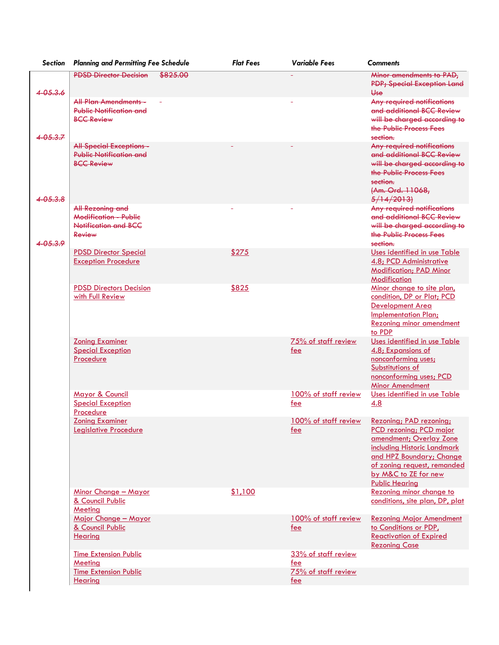| <b>Section</b>      | <b>Planning and Permitting Fee Schedule</b>                                                      |          | <b>Flat Fees</b> | <b>Variable Fees</b>               | <b>Comments</b>                                                                                                                                                                                                          |
|---------------------|--------------------------------------------------------------------------------------------------|----------|------------------|------------------------------------|--------------------------------------------------------------------------------------------------------------------------------------------------------------------------------------------------------------------------|
| 4-05.3.6            | <b>PDSD Director Decision</b>                                                                    | \$825.00 |                  |                                    | Minor amendments to PAD,<br><b>PDP; Special Exception Land</b><br><b>Use</b>                                                                                                                                             |
| 4-05.3.7            | <b>All Plan Amendments -</b><br><b>Public Notification and</b><br><b>BCC Review</b>              |          |                  |                                    | Any required notifications<br>and additional BCC Review<br>will be charged according to<br>the Public Process Fees<br>section.                                                                                           |
| 4-05.3.8            | <b>All Special Exceptions -</b><br><b>Public Notification and</b><br><b>BCC Review</b>           |          |                  |                                    | Any required notifications<br>and additional BCC Review<br>will be charged according to<br>the Public Process Fees<br>section.<br>(Am. Ord. 11068,<br>$\frac{5}{14}$ $\frac{4}{2013}$                                    |
| <del>4-05.3.9</del> | All Rezoning and<br><b>Modification - Public</b><br><b>Notification and BCC</b><br><b>Review</b> |          |                  |                                    | Any required notifications<br>and additional BCC Review<br>will be charged according to<br>the Public Process Fees<br>section.                                                                                           |
|                     | <b>PDSD Director Special</b><br><b>Exception Procedure</b>                                       |          | \$275            |                                    | Uses identified in use Table<br>4.8; PCD Administrative<br><b>Modification: PAD Minor</b><br>Modification                                                                                                                |
|                     | <b>PDSD Directors Decision</b><br>with Full Review                                               |          | \$825            |                                    | Minor change to site plan,<br>condition, DP or Plat; PCD<br>Development Area<br><b>Implementation Plan:</b><br><b>Rezoning minor amendment</b><br>to PDP                                                                 |
|                     | <b>Zoning Examiner</b><br><b>Special Exception</b><br><b>Procedure</b>                           |          |                  | 75% of staff review<br>fee         | Uses identified in use Table<br>4.8: Expansions of<br>nonconforming uses;<br>Substitutions of<br>nonconforming uses; PCD<br><b>Minor Amendment</b>                                                                       |
|                     | Mayor & Council<br><b>Special Exception</b><br>Procedure                                         |          |                  | 100% of staff review<br><u>fee</u> | Uses identified in use Table<br>4.8                                                                                                                                                                                      |
|                     | <b>Zoning Examiner</b><br>Legislative Procedure                                                  |          |                  | 100% of staff review<br>fee        | Rezoning; PAD rezoning;<br>PCD rezoning; PCD major<br>amendment; Overlay Zone<br>including Historic Landmark<br>and HPZ Boundary; Change<br>of zoning request, remanded<br>by M&C to ZE for new<br><b>Public Hearing</b> |
|                     | Minor Change - Mayor<br>& Council Public<br><b>Meeting</b>                                       |          | \$1,100          |                                    | Rezoning minor change to<br>conditions, site plan, DP, plat                                                                                                                                                              |
|                     | Major Change - Mayor<br>& Council Public<br><b>Hearing</b>                                       |          |                  | 100% of staff review<br>fee        | <b>Rezoning Major Amendment</b><br>to Conditions or PDP,<br><b>Reactivation of Expired</b><br><b>Rezoning Case</b>                                                                                                       |
|                     | <b>Time Extension Public</b><br><b>Meeting</b>                                                   |          |                  | 33% of staff review<br>fee         |                                                                                                                                                                                                                          |
|                     | <b>Time Extension Public</b><br><b>Hearing</b>                                                   |          |                  | 75% of staff review<br><u>fee</u>  |                                                                                                                                                                                                                          |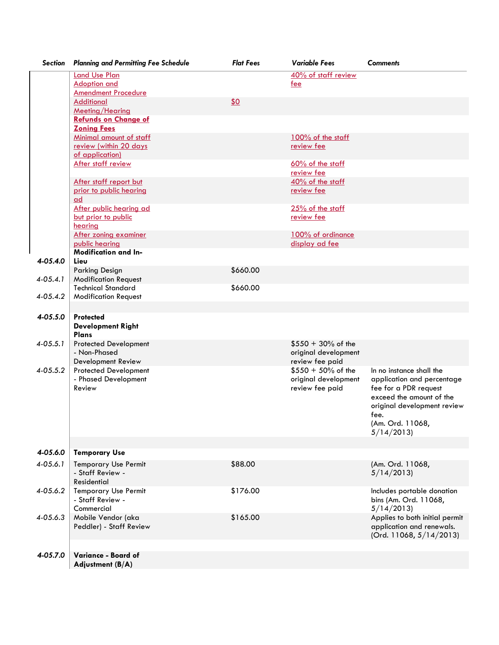| <b>Section</b> | <b>Planning and Permitting Fee Schedule</b>    | <b>Flat Fees</b> | <b>Variable Fees</b>           | <b>Comments</b>                     |
|----------------|------------------------------------------------|------------------|--------------------------------|-------------------------------------|
|                | <b>Land Use Plan</b>                           |                  | 40% of staff review            |                                     |
|                | <b>Adoption and</b>                            |                  | fee                            |                                     |
|                | <b>Amendment Procedure</b>                     |                  |                                |                                     |
|                | <b>Additional</b>                              | \$0              |                                |                                     |
|                | Meeting/Hearing<br><b>Refunds on Change of</b> |                  |                                |                                     |
|                | <b>Zoning Fees</b>                             |                  |                                |                                     |
|                | Minimal amount of staff                        |                  | 100% of the staff              |                                     |
|                | review (within 20 days                         |                  | review fee                     |                                     |
|                | of application)                                |                  |                                |                                     |
|                | After staff review                             |                  | 60% of the staff               |                                     |
|                |                                                |                  | review fee                     |                                     |
|                | After staff report but                         |                  | 40% of the staff               |                                     |
|                | prior to public hearing                        |                  | review fee                     |                                     |
|                | ad                                             |                  |                                |                                     |
|                | After public hearing ad<br>but prior to public |                  | 25% of the staff<br>review fee |                                     |
|                | hearing                                        |                  |                                |                                     |
|                | After zoning examiner                          |                  | 100% of ordinance              |                                     |
|                | public hearing                                 |                  | display ad fee                 |                                     |
|                | <b>Modification and In-</b>                    |                  |                                |                                     |
| 4-05.4.0       | Lieu                                           |                  |                                |                                     |
|                | <b>Parking Design</b>                          | \$660.00         |                                |                                     |
| $4-05.4.1$     | <b>Modification Request</b>                    |                  |                                |                                     |
|                | <b>Technical Standard</b>                      | \$660.00         |                                |                                     |
| $4 - 05.4.2$   | <b>Modification Request</b>                    |                  |                                |                                     |
|                |                                                |                  |                                |                                     |
| 4-05.5.0       | Protected<br><b>Development Right</b>          |                  |                                |                                     |
|                | Plans                                          |                  |                                |                                     |
| $4 - 05.5.1$   | <b>Protected Development</b>                   |                  | $$550 + 30\%$ of the           |                                     |
|                | - Non-Phased                                   |                  | original development           |                                     |
|                | Development Review                             |                  | review fee paid                |                                     |
| $4 - 0.55.2$   | <b>Protected Development</b>                   |                  | $$550 + 50\%$ of the           | In no instance shall the            |
|                | - Phased Development                           |                  | original development           | application and percentage          |
|                | Review                                         |                  | review fee paid                | fee for a PDR request               |
|                |                                                |                  |                                | exceed the amount of the            |
|                |                                                |                  |                                | original development review<br>fee. |
|                |                                                |                  |                                | (Am. Ord. 11068,                    |
|                |                                                |                  |                                | 5/14/2013                           |
|                |                                                |                  |                                |                                     |
| 4-05.6.0       | <b>Temporary Use</b>                           |                  |                                |                                     |
| $4 - 05.6.1$   | <b>Temporary Use Permit</b>                    | \$88.00          |                                | (Am. Ord. 11068,                    |
|                | - Staff Review -                               |                  |                                | 5/14/2013                           |
|                | <b>Residential</b>                             |                  |                                |                                     |
| $4 - 05.6.2$   | <b>Temporary Use Permit</b>                    | \$176.00         |                                | Includes portable donation          |
|                | - Staff Review -                               |                  |                                | bins (Am. Ord. 11068,               |
|                | Commercial                                     |                  |                                | 5/14/2013                           |
| 4-05.6.3       | Mobile Vendor (aka                             | \$165.00         |                                | Applies to both initial permit      |
|                | Peddler) - Staff Review                        |                  |                                | application and renewals.           |
|                |                                                |                  |                                | (Ord. 11068, 5/14/2013)             |
|                |                                                |                  |                                |                                     |
| 4-05.7.0       | Variance - Board of<br>Adjustment (B/A)        |                  |                                |                                     |
|                |                                                |                  |                                |                                     |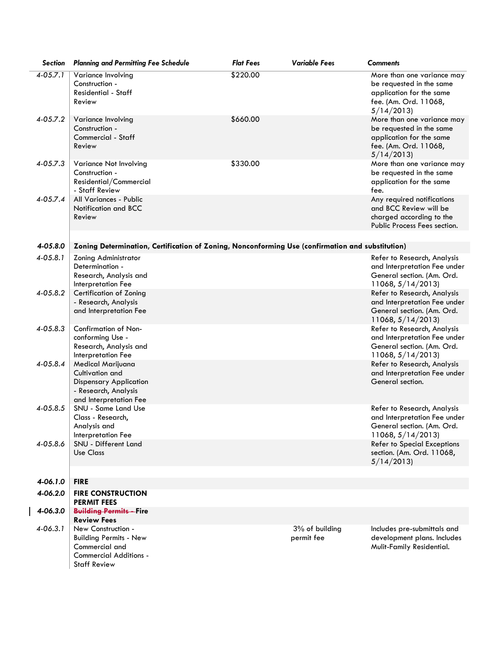| <b>Section</b> | <b>Planning and Permitting Fee Schedule</b>                                                                                   | <b>Flat Fees</b> | <b>Variable Fees</b>         | <b>Comments</b>                                                                                                                   |
|----------------|-------------------------------------------------------------------------------------------------------------------------------|------------------|------------------------------|-----------------------------------------------------------------------------------------------------------------------------------|
| $4-05.7.1$     | Variance Involving<br>Construction -<br><b>Residential - Staff</b><br>Review                                                  | \$220.00         |                              | More than one variance may<br>be requested in the same<br>application for the same<br>fee. (Am. Ord. 11068,<br>5/14/2013          |
| $4 - 05.7.2$   | Variance Involving<br>Construction -<br><b>Commercial - Staff</b><br>Review                                                   | \$660.00         |                              | More than one variance may<br>be requested in the same<br>application for the same<br>fee. (Am. Ord. 11068,<br>5/14/2013          |
| $4 - 05.7.3$   | Variance Not Involving<br>Construction -<br>Residential/Commercial<br>- Staff Review                                          | \$330.00         |                              | More than one variance may<br>be requested in the same<br>application for the same<br>fee.                                        |
| $4-05.7.4$     | All Variances - Public<br>Notification and BCC<br>Review                                                                      |                  |                              | Any required notifications<br>and BCC Review will be<br>charged according to the<br>Public Process Fees section.                  |
| 4-05.8.0       | Zoning Determination, Certification of Zoning, Nonconforming Use (confirmation and substitution)                              |                  |                              |                                                                                                                                   |
| $4 - 05.8.1$   | <b>Zoning Administrator</b><br>Determination -<br>Research, Analysis and<br>Interpretation Fee                                |                  |                              | Refer to Research, Analysis<br>and Interpretation Fee under<br>General section. (Am. Ord.                                         |
| $4 - 05.8.2$   | Certification of Zoning<br>- Research, Analysis<br>and Interpretation Fee                                                     |                  |                              | 11068, 5/14/2013<br>Refer to Research, Analysis<br>and Interpretation Fee under<br>General section. (Am. Ord.<br>11068, 5/14/2013 |
| 4-05.8.3       | Confirmation of Non-<br>conforming Use -<br>Research, Analysis and<br>Interpretation Fee                                      |                  |                              | Refer to Research, Analysis<br>and Interpretation Fee under<br>General section. (Am. Ord.<br>11068, 5/14/2013                     |
| 4-05.8.4       | Medical Marijuana<br>Cultivation and<br><b>Dispensary Application</b><br>- Research, Analysis<br>and Interpretation Fee       |                  |                              | Refer to Research, Analysis<br>and Interpretation Fee under<br>General section.                                                   |
| 4-05.8.5       | SNU - Same Land Use<br>Class - Research,<br>Analysis and<br>Interpretation Fee                                                |                  |                              | Refer to Research, Analysis<br>and Interpretation Fee under<br>General section. (Am. Ord.<br>11068, 5/14/2013                     |
| 4-05.8.6       | SNU - Different Land<br>Use Class                                                                                             |                  |                              | Refer to Special Exceptions<br>section. (Am. Ord. 11068,<br>5/14/2013                                                             |
|                |                                                                                                                               |                  |                              |                                                                                                                                   |
| 4-06.1.0       | <b>FIRE</b>                                                                                                                   |                  |                              |                                                                                                                                   |
| 4-06.2.0       | <b>FIRE CONSTRUCTION</b><br><b>PERMIT FEES</b>                                                                                |                  |                              |                                                                                                                                   |
| 4-06.3.0       | <b>Building Permits -- Fire</b><br><b>Review Fees</b>                                                                         |                  |                              |                                                                                                                                   |
| 4-06.3.1       | New Construction -<br><b>Building Permits - New</b><br>Commercial and<br><b>Commercial Additions -</b><br><b>Staff Review</b> |                  | 3% of building<br>permit fee | Includes pre-submittals and<br>development plans. Includes<br>Mulit-Family Residential.                                           |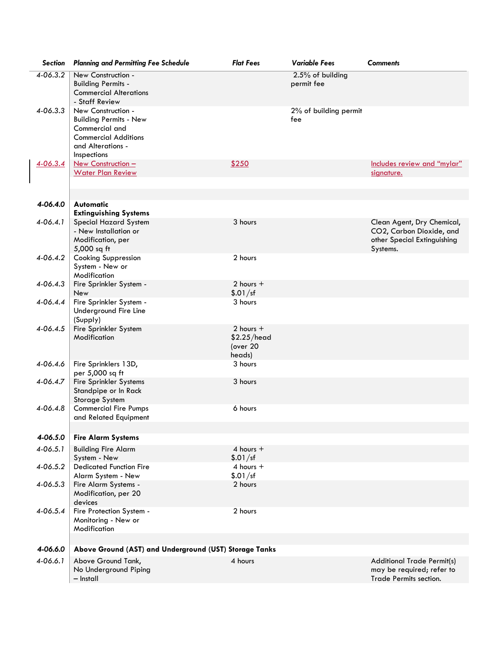| <b>Section</b>  | <b>Planning and Permitting Fee Schedule</b>                                                                                              | <b>Flat Fees</b>                                   | <b>Variable Fees</b>           | <b>Comments</b>                                                                                   |
|-----------------|------------------------------------------------------------------------------------------------------------------------------------------|----------------------------------------------------|--------------------------------|---------------------------------------------------------------------------------------------------|
| $4-06.3.2$      | New Construction -<br><b>Building Permits -</b><br><b>Commercial Alterations</b><br>- Staff Review                                       |                                                    | 2.5% of building<br>permit fee |                                                                                                   |
| $4 - 06.3.3$    | New Construction -<br><b>Building Permits - New</b><br>Commercial and<br><b>Commercial Additions</b><br>and Alterations -<br>Inspections |                                                    | 2% of building permit<br>fee   |                                                                                                   |
| <u>4-06.3.4</u> | New Construction -<br><b>Water Plan Review</b>                                                                                           | \$250                                              |                                | Includes review and "mylar"<br>signature.                                                         |
| 4-06.4.0        | Automatic<br><b>Extinguishing Systems</b>                                                                                                |                                                    |                                |                                                                                                   |
| $4-06.4.1$      | <b>Special Hazard System</b><br>- New Installation or<br>Modification, per<br>5,000 sq ft                                                | 3 hours                                            |                                | Clean Agent, Dry Chemical,<br>CO2, Carbon Dioxide, and<br>other Special Extinguishing<br>Systems. |
| 4-06.4.2        | <b>Cooking Suppression</b><br>System - New or<br>Modification                                                                            | 2 hours                                            |                                |                                                                                                   |
| $4 - 06.4.3$    | Fire Sprinkler System -<br>New                                                                                                           | $2$ hours $+$<br>\$.01/sf                          |                                |                                                                                                   |
| 4-06.4.4        | Fire Sprinkler System -<br>Underground Fire Line<br>(Supply)                                                                             | 3 hours                                            |                                |                                                                                                   |
| 4-06.4.5        | Fire Sprinkler System<br>Modification                                                                                                    | $2$ hours $+$<br>\$2.25/head<br>(over 20<br>heads) |                                |                                                                                                   |
| 4-06.4.6        | Fire Sprinklers 13D,<br>per 5,000 sq ft                                                                                                  | 3 hours                                            |                                |                                                                                                   |
| 4-06.4.7        | Fire Sprinkler Systems<br>Standpipe or In Rack<br>Storage System                                                                         | 3 hours                                            |                                |                                                                                                   |
| 4-06.4.8        | <b>Commercial Fire Pumps</b><br>and Related Equipment                                                                                    | 6 hours                                            |                                |                                                                                                   |
| 4-06.5.0        | <b>Fire Alarm Systems</b>                                                                                                                |                                                    |                                |                                                                                                   |
| $4 - 06.5.1$    | <b>Building Fire Alarm</b><br>System - New                                                                                               | 4 hours $+$<br>\$.01/sf                            |                                |                                                                                                   |
| 4-06.5.2        | <b>Dedicated Function Fire</b><br>Alarm System - New                                                                                     | 4 hours $+$<br>\$.01/sf                            |                                |                                                                                                   |
| 4-06.5.3        | Fire Alarm Systems -<br>Modification, per 20<br>devices                                                                                  | 2 hours                                            |                                |                                                                                                   |
| $4-06.5.4$      | Fire Protection System -<br>Monitoring - New or<br>Modification                                                                          | 2 hours                                            |                                |                                                                                                   |
| 4-06.6.0        | Above Ground (AST) and Underground (UST) Storage Tanks                                                                                   |                                                    |                                |                                                                                                   |
| $4-06.6.1$      | Above Ground Tank,<br>No Underground Piping<br>$-$ Install                                                                               | 4 hours                                            |                                | <b>Additional Trade Permit(s)</b><br>may be required; refer to<br>Trade Permits section.          |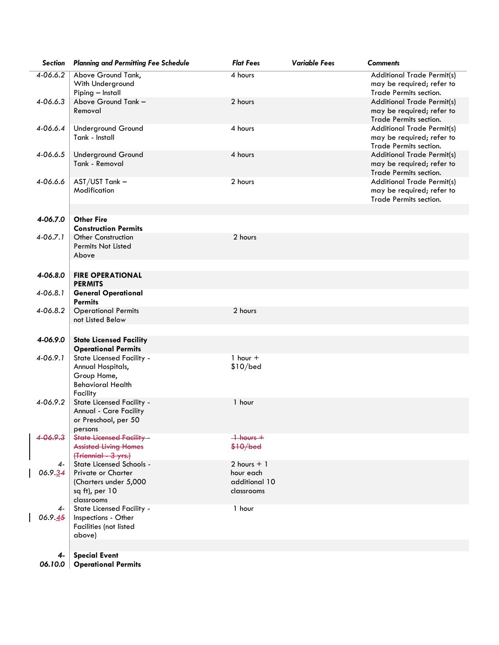| <b>Section</b>    | <b>Planning and Permitting Fee Schedule</b>                                                                  | <b>Flat Fees</b>                                          | <b>Variable Fees</b> | <b>Comments</b>                                                                          |
|-------------------|--------------------------------------------------------------------------------------------------------------|-----------------------------------------------------------|----------------------|------------------------------------------------------------------------------------------|
| 4-06.6.2          | Above Ground Tank,<br>With Underground<br>Piping - Install                                                   | 4 hours                                                   |                      | <b>Additional Trade Permit(s)</b><br>may be required; refer to<br>Trade Permits section. |
| $4-06.6.3$        | Above Ground Tank -<br>Removal                                                                               | 2 hours                                                   |                      | <b>Additional Trade Permit(s)</b><br>may be required; refer to<br>Trade Permits section. |
| $4-06.6.4$        | <b>Underground Ground</b><br>Tank - Install                                                                  | 4 hours                                                   |                      | <b>Additional Trade Permit(s)</b><br>may be required; refer to<br>Trade Permits section. |
| 4-06.6.5          | <b>Underground Ground</b><br>Tank - Removal                                                                  | 4 hours                                                   |                      | <b>Additional Trade Permit(s)</b><br>may be required; refer to<br>Trade Permits section. |
| 4-06.6.6          | $AST/UST$ Tank $-$<br>Modification                                                                           | 2 hours                                                   |                      | <b>Additional Trade Permit(s)</b><br>may be required; refer to<br>Trade Permits section. |
| 4-06.7.0          | <b>Other Fire</b><br><b>Construction Permits</b>                                                             |                                                           |                      |                                                                                          |
| $4 - 06.7.1$      | <b>Other Construction</b><br>Permits Not Listed<br>Above                                                     | 2 hours                                                   |                      |                                                                                          |
| 4-06.8.0          | <b>FIRE OPERATIONAL</b><br><b>PERMITS</b>                                                                    |                                                           |                      |                                                                                          |
| 4-06.8.1          | <b>General Operational</b><br><b>Permits</b>                                                                 |                                                           |                      |                                                                                          |
| 4-06.8.2          | <b>Operational Permits</b><br>not Listed Below                                                               | 2 hours                                                   |                      |                                                                                          |
| 4-06.9.0          | <b>State Licensed Facility</b><br><b>Operational Permits</b>                                                 |                                                           |                      |                                                                                          |
| 4-06.9.1          | <b>State Licensed Facility -</b><br>Annual Hospitals,<br>Group Home,<br><b>Behavioral Health</b><br>Facility | 1 hour $+$<br>\$10/bed                                    |                      |                                                                                          |
| 4-06.9.2          | State Licensed Facility -<br><b>Annual - Care Facility</b><br>or Preschool, per 50<br>persons                | 1 hour                                                    |                      |                                                                                          |
| <del>06.9.3</del> | State Licensed Facility -<br><b>Assisted Living Homes</b><br>$\{Triennial - 3 \, yrs.\}$                     | $+$ hours $+$<br>\$10/bed                                 |                      |                                                                                          |
| 4-<br>06.9.34     | State Licensed Schools -<br>Private or Charter<br>(Charters under 5,000<br>sq ft), per 10<br>classrooms      | $2$ hours + 1<br>hour each<br>additional 10<br>classrooms |                      |                                                                                          |
| 4-<br>06.9.45     | State Licensed Facility -<br>Inspections - Other<br><b>Facilities (not listed</b><br>above)                  | 1 hour                                                    |                      |                                                                                          |
|                   |                                                                                                              |                                                           |                      |                                                                                          |
| 4-<br>06.10.0     | <b>Special Event</b><br><b>Operational Permits</b>                                                           |                                                           |                      |                                                                                          |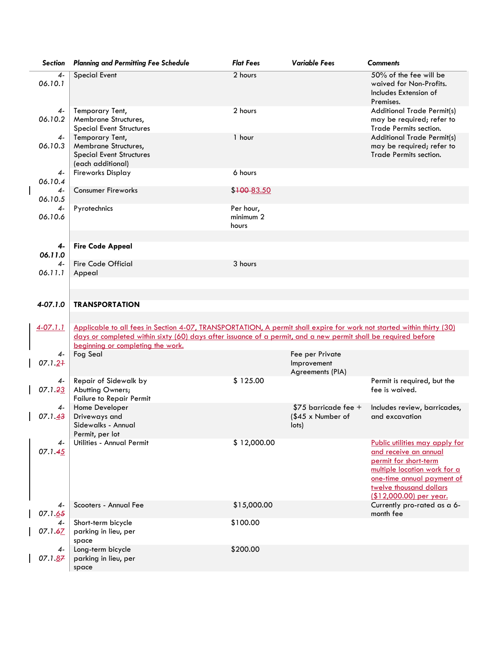| <b>Section</b>        | <b>Planning and Permitting Fee Schedule</b>                                                                                                                                                                                                                                  | <b>Flat Fees</b>                    | <b>Variable Fees</b>                                 | <b>Comments</b>                                                                                                                                                                                      |
|-----------------------|------------------------------------------------------------------------------------------------------------------------------------------------------------------------------------------------------------------------------------------------------------------------------|-------------------------------------|------------------------------------------------------|------------------------------------------------------------------------------------------------------------------------------------------------------------------------------------------------------|
| 4-<br>06.10.1         | <b>Special Event</b>                                                                                                                                                                                                                                                         | 2 hours                             |                                                      | 50% of the fee will be<br>waived for Non-Profits.<br>Includes Extension of<br>Premises.                                                                                                              |
| 4-<br>06.10.2         | Temporary Tent,<br>Membrane Structures,<br><b>Special Event Structures</b>                                                                                                                                                                                                   | 2 hours                             |                                                      | <b>Additional Trade Permit(s)</b><br>may be required; refer to<br>Trade Permits section.                                                                                                             |
| 4-<br>06.10.3         | Temporary Tent,<br>Membrane Structures,<br><b>Special Event Structures</b><br>(each additional)                                                                                                                                                                              | 1 hour                              |                                                      | <b>Additional Trade Permit(s)</b><br>may be required; refer to<br>Trade Permits section.                                                                                                             |
| $4-$<br>06.10.4<br>4- | Fireworks Display<br><b>Consumer Fireworks</b>                                                                                                                                                                                                                               | 6 hours<br>\$ <del>100</del> -83.50 |                                                      |                                                                                                                                                                                                      |
| 06.10.5               |                                                                                                                                                                                                                                                                              |                                     |                                                      |                                                                                                                                                                                                      |
| $4-$<br>06.10.6       | Pyrotechnics                                                                                                                                                                                                                                                                 | Per hour,<br>minimum 2<br>hours     |                                                      |                                                                                                                                                                                                      |
| 4-<br>06.11.0         | <b>Fire Code Appeal</b>                                                                                                                                                                                                                                                      |                                     |                                                      |                                                                                                                                                                                                      |
| 4-<br>06.11.1         | <b>Fire Code Official</b><br>Appeal                                                                                                                                                                                                                                          | 3 hours                             |                                                      |                                                                                                                                                                                                      |
|                       |                                                                                                                                                                                                                                                                              |                                     |                                                      |                                                                                                                                                                                                      |
| 4-07.1.0              | <b>TRANSPORTATION</b>                                                                                                                                                                                                                                                        |                                     |                                                      |                                                                                                                                                                                                      |
| $4 - 07.1.1$          | Applicable to all fees in Section 4-07, TRANSPORTATION, A permit shall expire for work not started within thirty (30)<br>days or completed within sixty (60) days after issuance of a permit, and a new permit shall be required before<br>beginning or completing the work. |                                     |                                                      |                                                                                                                                                                                                      |
| 4-<br>$07.1.2+$       | Fog Seal                                                                                                                                                                                                                                                                     |                                     | Fee per Private<br>Improvement<br>Agreements (PIA)   |                                                                                                                                                                                                      |
| 4-<br>07.1.23         | Repair of Sidewalk by<br>Abutting Owners;<br><b>Failure to Repair Permit</b>                                                                                                                                                                                                 | \$125.00                            |                                                      | Permit is required, but the<br>fee is waived.                                                                                                                                                        |
| 4-<br>07.1.43         | Home Developer<br>Driveways and<br>Sidewalks - Annual<br>Permit, per lot                                                                                                                                                                                                     |                                     | \$75 barricade fee $+$<br>(\$45 x Number of<br>lots) | Includes review, barricades,<br>and excavation                                                                                                                                                       |
| 4-<br>07.1.45         | Utilities - Annual Permit                                                                                                                                                                                                                                                    | \$12,000.00                         |                                                      | Public utilities may apply for<br>and receive an annual<br>permit for short-term<br>multiple location work for a<br>one-time annual payment of<br>twelve thousand dollars<br>(\$12,000.00) per year. |
| 4-<br>07.1.65         | Scooters - Annual Fee                                                                                                                                                                                                                                                        | \$15,000.00                         |                                                      | Currently pro-rated as a 6-<br>month fee                                                                                                                                                             |
| 4-<br>07.1.6Z         | Short-term bicycle<br>parking in lieu, per                                                                                                                                                                                                                                   | \$100.00                            |                                                      |                                                                                                                                                                                                      |
| 4-<br>07.1.87         | space<br>Long-term bicycle<br>parking in lieu, per<br>space                                                                                                                                                                                                                  | \$200.00                            |                                                      |                                                                                                                                                                                                      |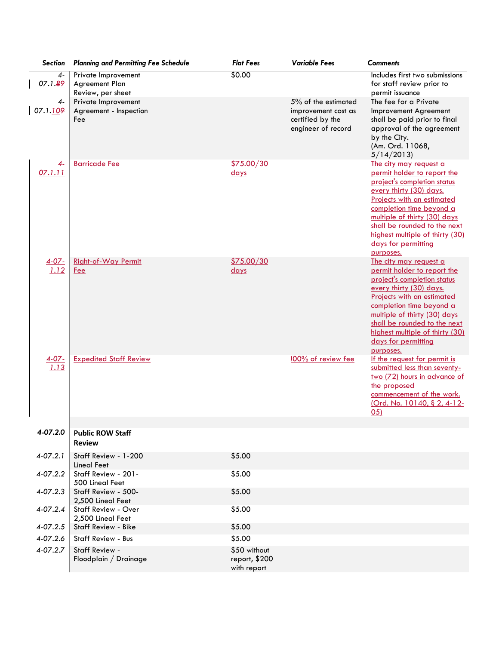| <b>Section</b>       | <b>Planning and Permitting Fee Schedule</b>                | <b>Flat Fees</b>                             | <b>Variable Fees</b>                                                                 | <b>Comments</b>                                                                                                                                                                                                                                                                                                  |
|----------------------|------------------------------------------------------------|----------------------------------------------|--------------------------------------------------------------------------------------|------------------------------------------------------------------------------------------------------------------------------------------------------------------------------------------------------------------------------------------------------------------------------------------------------------------|
| 4-<br>07.1.82        | Private Improvement<br>Agreement Plan<br>Review, per sheet | \$0.00                                       |                                                                                      | Includes first two submissions<br>for staff review prior to<br>permit issuance                                                                                                                                                                                                                                   |
| 4-<br>07.1.109       | Private Improvement<br>Agreement - Inspection<br>Fee       |                                              | 5% of the estimated<br>improvement cost as<br>certified by the<br>engineer of record | The fee for a Private<br>Improvement Agreement<br>shall be paid prior to final<br>approval of the agreement<br>by the City.<br>(Am. Ord. 11068,<br>5/14/2013                                                                                                                                                     |
| <u>4-</u><br>07.1.11 | <b>Barricade Fee</b>                                       | \$75.00/30<br><u>days</u>                    |                                                                                      | The city may request a<br>permit holder to report the<br>project's completion status<br>every thirty (30) days.<br>Projects with an estimated<br>completion time beyond a<br>multiple of thirty (30) days<br>shall be rounded to the next<br>highest multiple of thirty (30)<br>days for permitting<br>purposes. |
| $4 - 07 -$<br>1.12   | Right-of-Way Permit<br><b>Fee</b>                          | \$75.00/30<br><u>days</u>                    |                                                                                      | The city may request a<br>permit holder to report the<br>project's completion status<br>every thirty (30) days.<br>Projects with an estimated<br>completion time beyond a<br>multiple of thirty (30) days<br>shall be rounded to the next<br>highest multiple of thirty (30)<br>days for permitting<br>purposes. |
| <u>4-07-</u><br>1.13 | <b>Expedited Staff Review</b>                              |                                              | 100% of review fee                                                                   | If the request for permit is<br>submitted less than seventy-<br>two (72) hours in advance of<br>the proposed<br>commencement of the work.<br>Ord. No. 10140, § 2, 4-12-<br>05)                                                                                                                                   |
| 4-07.2.0             | <b>Public ROW Staff</b>                                    |                                              |                                                                                      |                                                                                                                                                                                                                                                                                                                  |
|                      | <b>Review</b>                                              |                                              |                                                                                      |                                                                                                                                                                                                                                                                                                                  |
| $4-07.2.1$           | Staff Review - 1-200<br>Lineal Feet                        | \$5.00                                       |                                                                                      |                                                                                                                                                                                                                                                                                                                  |
| $4-07.2.2$           | Staff Review - 201-<br>500 Lineal Feet                     | \$5.00                                       |                                                                                      |                                                                                                                                                                                                                                                                                                                  |
| $4-07.2.3$           | Staff Review - 500-<br>2,500 Lineal Feet                   | \$5.00                                       |                                                                                      |                                                                                                                                                                                                                                                                                                                  |
| $4 - 07.2.4$         | <b>Staff Review - Over</b><br>2,500 Lineal Feet            | \$5.00                                       |                                                                                      |                                                                                                                                                                                                                                                                                                                  |
| $4 - 07.2.5$         | <b>Staff Review - Bike</b>                                 | \$5.00                                       |                                                                                      |                                                                                                                                                                                                                                                                                                                  |
| 4-07.2.6             | <b>Staff Review - Bus</b>                                  | \$5.00                                       |                                                                                      |                                                                                                                                                                                                                                                                                                                  |
| $4-07.2.7$           | Staff Review -<br>Floodplain / Drainage                    | \$50 without<br>report, \$200<br>with report |                                                                                      |                                                                                                                                                                                                                                                                                                                  |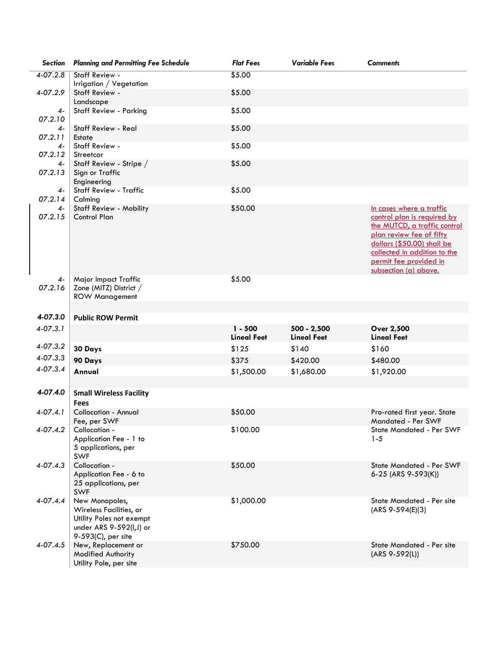| <b>Section</b>  | <b>Planning and Permitting Fee Schedule</b>                                                                            | <b>Flat Fees</b>   | <b>Variable Fees</b> | <b>Comments</b>                                                                                                                                                                                                                      |
|-----------------|------------------------------------------------------------------------------------------------------------------------|--------------------|----------------------|--------------------------------------------------------------------------------------------------------------------------------------------------------------------------------------------------------------------------------------|
| $4-07.2.8$      | Staff Review -                                                                                                         | \$5.00             |                      |                                                                                                                                                                                                                                      |
| 4-07.2.9        | Irrigation / Vegetation<br>Staff Review -<br>Landscape                                                                 | \$5.00             |                      |                                                                                                                                                                                                                                      |
| 4-              | Staff Review - Parking                                                                                                 | \$5.00             |                      |                                                                                                                                                                                                                                      |
| 07.2.10<br>4-   | <b>Staff Review - Real</b>                                                                                             | \$5.00             |                      |                                                                                                                                                                                                                                      |
| 07.2.11<br>4-   | Estate<br>Staff Review -                                                                                               | \$5.00             |                      |                                                                                                                                                                                                                                      |
| 07.2.12<br>4-   | Streetcar<br>Staff Review - Stripe /                                                                                   | \$5.00             |                      |                                                                                                                                                                                                                                      |
| 07.2.13         | Sign or Traffic<br>Engineering                                                                                         |                    |                      |                                                                                                                                                                                                                                      |
| 4-<br>07.2.14   | <b>Staff Review - Traffic</b><br>Calming                                                                               | \$5.00             |                      |                                                                                                                                                                                                                                      |
| $4-$<br>07.2.15 | Staff Review - Mobility<br><b>Control Plan</b>                                                                         | \$50.00            |                      | In cases where a traffic<br>control plan is required by<br>the MUTCD, a traffic control<br>plan review fee of fifty<br>dollars (\$50.00) shall be<br>collected in addition to the<br>permit fee provided in<br>subsection (a) above. |
| $4-$<br>07.2.16 | Major Impact Traffic<br>Zone (MITZ) District /<br><b>ROW Management</b>                                                | \$5.00             |                      |                                                                                                                                                                                                                                      |
| 4-07.3.0        |                                                                                                                        |                    |                      |                                                                                                                                                                                                                                      |
| $4-07.3.1$      | <b>Public ROW Permit</b>                                                                                               | $1 - 500$          | $500 - 2,500$        | Over 2,500                                                                                                                                                                                                                           |
|                 |                                                                                                                        | <b>Lineal Feet</b> | <b>Lineal Feet</b>   | <b>Lineal Feet</b>                                                                                                                                                                                                                   |
| 4-07.3.2        | 30 Days                                                                                                                | \$125              | \$140                | \$160                                                                                                                                                                                                                                |
| 4-07.3.3        | 90 Days                                                                                                                | \$375              | \$420.00             | \$480.00                                                                                                                                                                                                                             |
| 4-07.3.4        | Annual                                                                                                                 | \$1,500.00         | \$1,680.00           | \$1,920.00                                                                                                                                                                                                                           |
| 4-07.4.0        | <b>Small Wireless Facility</b><br>Fees                                                                                 |                    |                      |                                                                                                                                                                                                                                      |
| $4-07.4.1$      | Collocation - Annual<br>Fee, per SWF                                                                                   | \$50.00            |                      | Pro-rated first year. State<br>Mandated - Per SWF                                                                                                                                                                                    |
| 4-07.4.2        | Collocation -<br>Application Fee - 1 to<br>5 applications, per<br><b>SWF</b>                                           | \$100.00           |                      | State Mandated - Per SWF<br>$1 - 5$                                                                                                                                                                                                  |
| 4-07.4.3        | Collocation -<br>Application Fee - 6 to<br>25 applications, per<br>SWF                                                 | \$50.00            |                      | State Mandated - Per SWF<br>6-25 (ARS 9-593(K))                                                                                                                                                                                      |
| $4-07.4.4$      | New Monopoles,<br>Wireless Facilities, or<br>Utility Poles not exempt<br>under ARS 9-592(I,J) or<br>9-593(C), per site | \$1,000.00         |                      | State Mandated - Per site<br>(ARS 9-594(E)(3)                                                                                                                                                                                        |
| $4 - 07.4.5$    | New, Replacement or<br>Modified Authority<br>Utility Pole, per site                                                    | \$750.00           |                      | State Mandated - Per site<br>(ARS 9-592(L))                                                                                                                                                                                          |